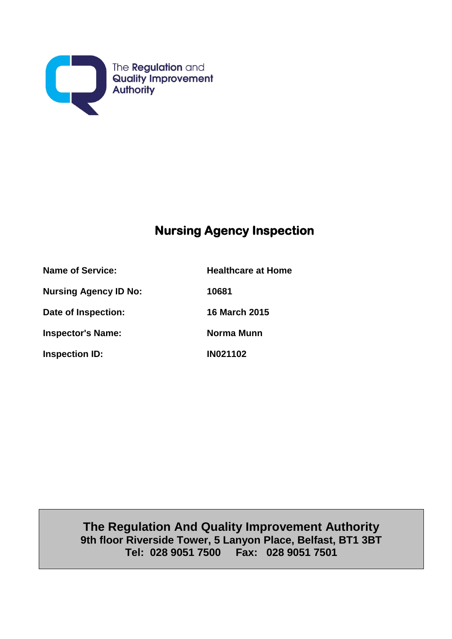

# **Nursing Agency Inspection**

**Name of Service: Healthcare at Home Nursing Agency ID No: 10681 Date of Inspection: 16 March 2015 Inspector's Name:** Norma Munn **Inspection ID: IN021102** 

> **The Regulation And Quality Improvement Authority 9th floor Riverside Tower, 5 Lanyon Place, Belfast, BT1 3BT Tel: 028 9051 7500 Fax: 028 9051 7501**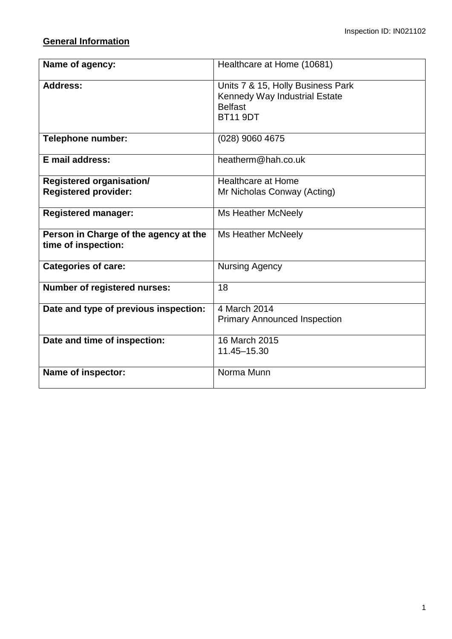# **General Information**

| Name of agency:                                              | Healthcare at Home (10681)                                                                              |
|--------------------------------------------------------------|---------------------------------------------------------------------------------------------------------|
| <b>Address:</b>                                              | Units 7 & 15, Holly Business Park<br>Kennedy Way Industrial Estate<br><b>Belfast</b><br><b>BT11 9DT</b> |
| <b>Telephone number:</b>                                     | (028) 9060 4675                                                                                         |
| E mail address:                                              | heatherm@hah.co.uk                                                                                      |
| <b>Registered organisation/</b>                              | <b>Healthcare at Home</b>                                                                               |
| <b>Registered provider:</b>                                  | Mr Nicholas Conway (Acting)                                                                             |
| <b>Registered manager:</b>                                   | <b>Ms Heather McNeely</b>                                                                               |
| Person in Charge of the agency at the<br>time of inspection: | Ms Heather McNeely                                                                                      |
| <b>Categories of care:</b>                                   | <b>Nursing Agency</b>                                                                                   |
| <b>Number of registered nurses:</b>                          | 18                                                                                                      |
| Date and type of previous inspection:                        | 4 March 2014<br><b>Primary Announced Inspection</b>                                                     |
| Date and time of inspection:                                 | 16 March 2015<br>11.45-15.30                                                                            |
| Name of inspector:                                           | Norma Munn                                                                                              |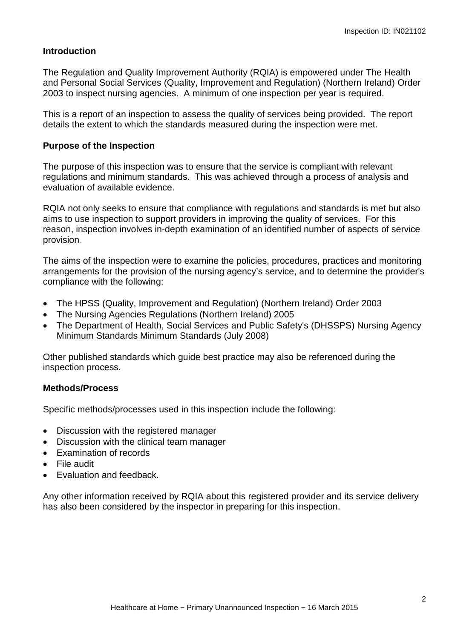#### **Introduction**

The Regulation and Quality Improvement Authority (RQIA) is empowered under The Health and Personal Social Services (Quality, Improvement and Regulation) (Northern Ireland) Order 2003 to inspect nursing agencies. A minimum of one inspection per year is required.

This is a report of an inspection to assess the quality of services being provided. The report details the extent to which the standards measured during the inspection were met.

#### **Purpose of the Inspection**

The purpose of this inspection was to ensure that the service is compliant with relevant regulations and minimum standards. This was achieved through a process of analysis and evaluation of available evidence.

RQIA not only seeks to ensure that compliance with regulations and standards is met but also aims to use inspection to support providers in improving the quality of services. For this reason, inspection involves in-depth examination of an identified number of aspects of service provision.

The aims of the inspection were to examine the policies, procedures, practices and monitoring arrangements for the provision of the nursing agency's service, and to determine the provider's compliance with the following:

- The HPSS (Quality, Improvement and Regulation) (Northern Ireland) Order 2003
- The Nursing Agencies Regulations (Northern Ireland) 2005
- The Department of Health, Social Services and Public Safety's (DHSSPS) Nursing Agency Minimum Standards Minimum Standards (July 2008)

Other published standards which guide best practice may also be referenced during the inspection process.

#### **Methods/Process**

Specific methods/processes used in this inspection include the following:

- Discussion with the registered manager
- Discussion with the clinical team manager
- Examination of records
- File audit
- Evaluation and feedback.

Any other information received by RQIA about this registered provider and its service delivery has also been considered by the inspector in preparing for this inspection.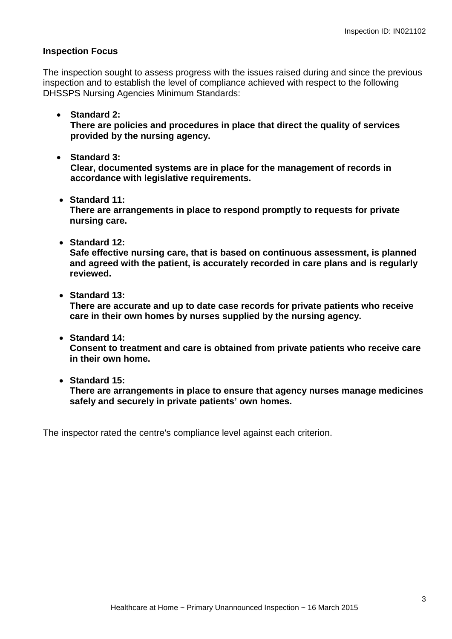#### **Inspection Focus**

The inspection sought to assess progress with the issues raised during and since the previous inspection and to establish the level of compliance achieved with respect to the following DHSSPS Nursing Agencies Minimum Standards:

• **Standard 2:** 

**There are policies and procedures in place that direct the quality of services provided by the nursing agency.** 

• **Standard 3:**

**Clear, documented systems are in place for the management of records in accordance with legislative requirements.**

• **Standard 11:**

**There are arrangements in place to respond promptly to requests for private nursing care.**

• **Standard 12:**

**Safe effective nursing care, that is based on continuous assessment, is planned and agreed with the patient, is accurately recorded in care plans and is regularly reviewed.** 

• **Standard 13:**

**There are accurate and up to date case records for private patients who receive care in their own homes by nurses supplied by the nursing agency.**

• **Standard 14:**

**Consent to treatment and care is obtained from private patients who receive care in their own home.** 

• **Standard 15:**

**There are arrangements in place to ensure that agency nurses manage medicines safely and securely in private patients' own homes.**

The inspector rated the centre's compliance level against each criterion.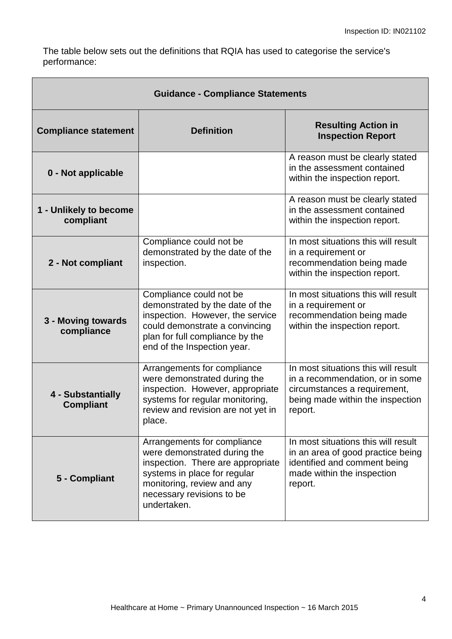The table below sets out the definitions that RQIA has used to categorise the service's performance:

| <b>Guidance - Compliance Statements</b> |                                                                                                                                                                                                            |                                                                                                                                                       |
|-----------------------------------------|------------------------------------------------------------------------------------------------------------------------------------------------------------------------------------------------------------|-------------------------------------------------------------------------------------------------------------------------------------------------------|
| <b>Compliance statement</b>             | <b>Definition</b>                                                                                                                                                                                          | <b>Resulting Action in</b><br><b>Inspection Report</b>                                                                                                |
| 0 - Not applicable                      |                                                                                                                                                                                                            | A reason must be clearly stated<br>in the assessment contained<br>within the inspection report.                                                       |
| 1 - Unlikely to become<br>compliant     |                                                                                                                                                                                                            | A reason must be clearly stated<br>in the assessment contained<br>within the inspection report.                                                       |
| 2 - Not compliant                       | Compliance could not be<br>demonstrated by the date of the<br>inspection.                                                                                                                                  | In most situations this will result<br>in a requirement or<br>recommendation being made<br>within the inspection report.                              |
| 3 - Moving towards<br>compliance        | Compliance could not be<br>demonstrated by the date of the<br>inspection. However, the service<br>could demonstrate a convincing<br>plan for full compliance by the<br>end of the Inspection year.         | In most situations this will result<br>in a requirement or<br>recommendation being made<br>within the inspection report.                              |
| 4 - Substantially<br><b>Compliant</b>   | Arrangements for compliance<br>were demonstrated during the<br>inspection. However, appropriate<br>systems for regular monitoring,<br>review and revision are not yet in<br>place.                         | In most situations this will result<br>in a recommendation, or in some<br>circumstances a requirement,<br>being made within the inspection<br>report. |
| 5 - Compliant                           | Arrangements for compliance<br>were demonstrated during the<br>inspection. There are appropriate<br>systems in place for regular<br>monitoring, review and any<br>necessary revisions to be<br>undertaken. | In most situations this will result<br>in an area of good practice being<br>identified and comment being<br>made within the inspection<br>report.     |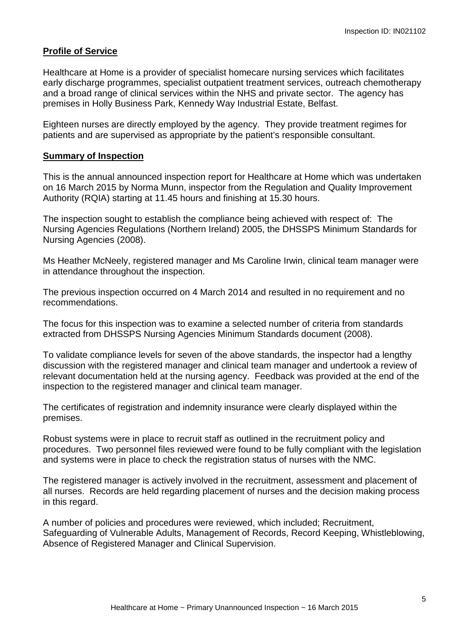#### **Profile of Service**

Healthcare at Home is a provider of specialist homecare nursing services which facilitates early discharge programmes, specialist outpatient treatment services, outreach chemotherapy and a broad range of clinical services within the NHS and private sector. The agency has premises in Holly Business Park, Kennedy Way Industrial Estate, Belfast.

Eighteen nurses are directly employed by the agency. They provide treatment regimes for patients and are supervised as appropriate by the patient's responsible consultant.

#### **Summary of Inspection**

This is the annual announced inspection report for Healthcare at Home which was undertaken on 16 March 2015 by Norma Munn, inspector from the Regulation and Quality Improvement Authority (RQIA) starting at 11.45 hours and finishing at 15.30 hours.

The inspection sought to establish the compliance being achieved with respect of: The Nursing Agencies Regulations (Northern Ireland) 2005, the DHSSPS Minimum Standards for Nursing Agencies (2008).

Ms Heather McNeely, registered manager and Ms Caroline Irwin, clinical team manager were in attendance throughout the inspection.

The previous inspection occurred on 4 March 2014 and resulted in no requirement and no recommendations.

The focus for this inspection was to examine a selected number of criteria from standards extracted from DHSSPS Nursing Agencies Minimum Standards document (2008).

To validate compliance levels for seven of the above standards, the inspector had a lengthy discussion with the registered manager and clinical team manager and undertook a review of relevant documentation held at the nursing agency. Feedback was provided at the end of the inspection to the registered manager and clinical team manager.

The certificates of registration and indemnity insurance were clearly displayed within the premises.

Robust systems were in place to recruit staff as outlined in the recruitment policy and procedures. Two personnel files reviewed were found to be fully compliant with the legislation and systems were in place to check the registration status of nurses with the NMC.

The registered manager is actively involved in the recruitment, assessment and placement of all nurses. Records are held regarding placement of nurses and the decision making process in this regard.

A number of policies and procedures were reviewed, which included; Recruitment, Safeguarding of Vulnerable Adults, Management of Records, Record Keeping, Whistleblowing, Absence of Registered Manager and Clinical Supervision.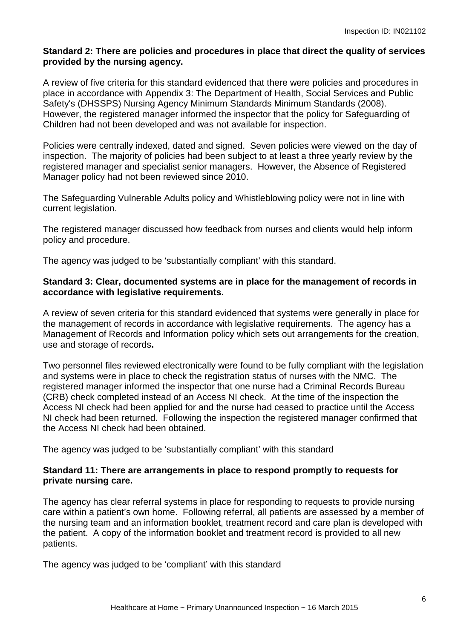#### **Standard 2: There are policies and procedures in place that direct the quality of services provided by the nursing agency.**

A review of five criteria for this standard evidenced that there were policies and procedures in place in accordance with Appendix 3: The Department of Health, Social Services and Public Safety's (DHSSPS) Nursing Agency Minimum Standards Minimum Standards (2008). However, the registered manager informed the inspector that the policy for Safeguarding of Children had not been developed and was not available for inspection.

Policies were centrally indexed, dated and signed. Seven policies were viewed on the day of inspection. The majority of policies had been subject to at least a three yearly review by the registered manager and specialist senior managers. However, the Absence of Registered Manager policy had not been reviewed since 2010.

The Safeguarding Vulnerable Adults policy and Whistleblowing policy were not in line with current legislation.

The registered manager discussed how feedback from nurses and clients would help inform policy and procedure.

The agency was judged to be 'substantially compliant' with this standard.

#### **Standard 3: Clear, documented systems are in place for the management of records in accordance with legislative requirements.**

A review of seven criteria for this standard evidenced that systems were generally in place for the management of records in accordance with legislative requirements. The agency has a Management of Records and Information policy which sets out arrangements for the creation, use and storage of records**.** 

Two personnel files reviewed electronically were found to be fully compliant with the legislation and systems were in place to check the registration status of nurses with the NMC. The registered manager informed the inspector that one nurse had a Criminal Records Bureau (CRB) check completed instead of an Access NI check. At the time of the inspection the Access NI check had been applied for and the nurse had ceased to practice until the Access NI check had been returned. Following the inspection the registered manager confirmed that the Access NI check had been obtained.

The agency was judged to be 'substantially compliant' with this standard

#### **Standard 11: There are arrangements in place to respond promptly to requests for private nursing care.**

The agency has clear referral systems in place for responding to requests to provide nursing care within a patient's own home. Following referral, all patients are assessed by a member of the nursing team and an information booklet, treatment record and care plan is developed with the patient. A copy of the information booklet and treatment record is provided to all new patients.

The agency was judged to be 'compliant' with this standard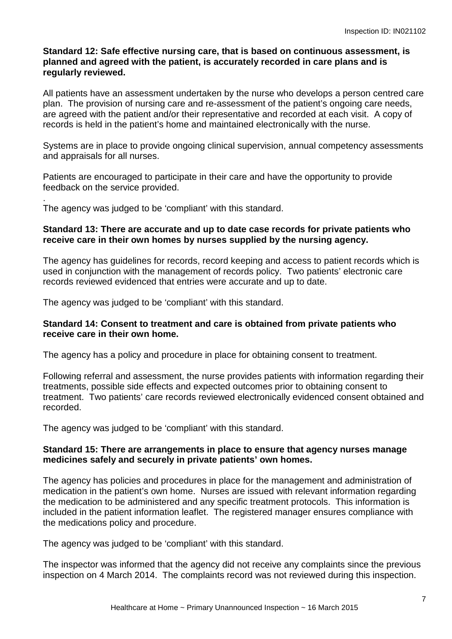#### **Standard 12: Safe effective nursing care, that is based on continuous assessment, is planned and agreed with the patient, is accurately recorded in care plans and is regularly reviewed.**

All patients have an assessment undertaken by the nurse who develops a person centred care plan. The provision of nursing care and re-assessment of the patient's ongoing care needs, are agreed with the patient and/or their representative and recorded at each visit. A copy of records is held in the patient's home and maintained electronically with the nurse.

Systems are in place to provide ongoing clinical supervision, annual competency assessments and appraisals for all nurses.

Patients are encouraged to participate in their care and have the opportunity to provide feedback on the service provided.

. The agency was judged to be 'compliant' with this standard.

#### **Standard 13: There are accurate and up to date case records for private patients who receive care in their own homes by nurses supplied by the nursing agency.**

The agency has guidelines for records, record keeping and access to patient records which is used in conjunction with the management of records policy. Two patients' electronic care records reviewed evidenced that entries were accurate and up to date.

The agency was judged to be 'compliant' with this standard.

#### **Standard 14: Consent to treatment and care is obtained from private patients who receive care in their own home.**

The agency has a policy and procedure in place for obtaining consent to treatment.

Following referral and assessment, the nurse provides patients with information regarding their treatments, possible side effects and expected outcomes prior to obtaining consent to treatment. Two patients' care records reviewed electronically evidenced consent obtained and recorded.

The agency was judged to be 'compliant' with this standard.

#### **Standard 15: There are arrangements in place to ensure that agency nurses manage medicines safely and securely in private patients' own homes.**

The agency has policies and procedures in place for the management and administration of medication in the patient's own home. Nurses are issued with relevant information regarding the medication to be administered and any specific treatment protocols. This information is included in the patient information leaflet. The registered manager ensures compliance with the medications policy and procedure.

The agency was judged to be 'compliant' with this standard.

The inspector was informed that the agency did not receive any complaints since the previous inspection on 4 March 2014. The complaints record was not reviewed during this inspection.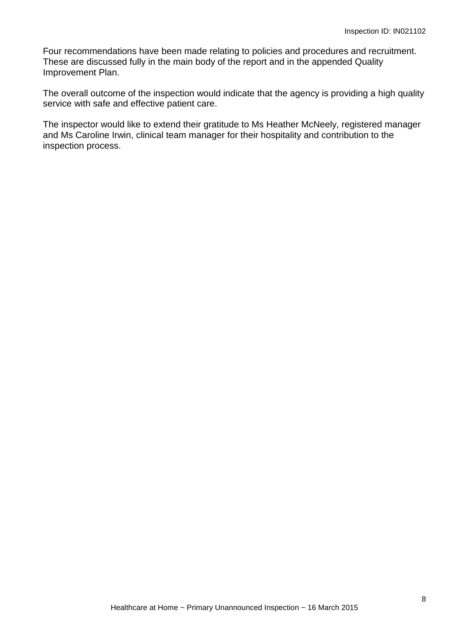Four recommendations have been made relating to policies and procedures and recruitment. These are discussed fully in the main body of the report and in the appended Quality Improvement Plan.

The overall outcome of the inspection would indicate that the agency is providing a high quality service with safe and effective patient care.

The inspector would like to extend their gratitude to Ms Heather McNeely, registered manager and Ms Caroline Irwin, clinical team manager for their hospitality and contribution to the inspection process.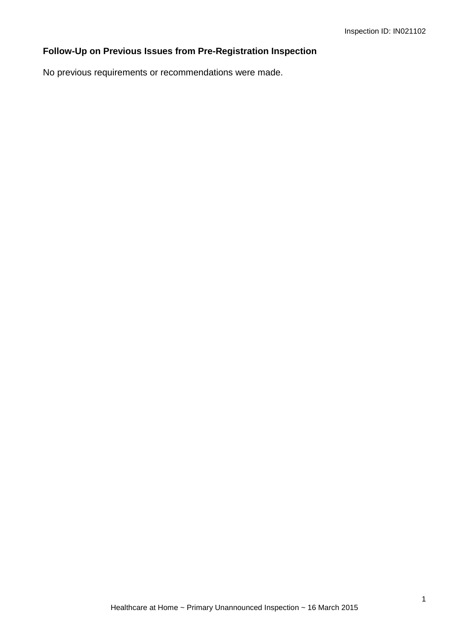# **Follow-Up on Previous Issues from Pre-Registration Inspection**

No previous requirements or recommendations were made.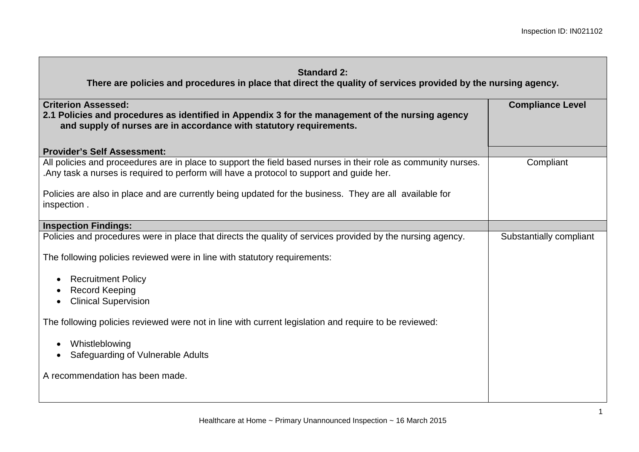| <b>Standard 2:</b> |  |
|--------------------|--|
|--------------------|--|

| <b>Criterion Assessed:</b><br>2.1 Policies and procedures as identified in Appendix 3 for the management of the nursing agency<br>and supply of nurses are in accordance with statutory requirements.                                                                        | <b>Compliance Level</b> |
|------------------------------------------------------------------------------------------------------------------------------------------------------------------------------------------------------------------------------------------------------------------------------|-------------------------|
| <b>Provider's Self Assessment:</b>                                                                                                                                                                                                                                           |                         |
| All policies and proceedures are in place to support the field based nurses in their role as community nurses.<br>. Any task a nurses is required to perform will have a protocol to support and guide her.                                                                  | Compliant               |
| Policies are also in place and are currently being updated for the business. They are all available for<br>inspection.                                                                                                                                                       |                         |
| <b>Inspection Findings:</b>                                                                                                                                                                                                                                                  |                         |
| Policies and procedures were in place that directs the quality of services provided by the nursing agency.<br>The following policies reviewed were in line with statutory requirements:<br><b>Recruitment Policy</b><br><b>Record Keeping</b><br><b>Clinical Supervision</b> | Substantially compliant |
| The following policies reviewed were not in line with current legislation and require to be reviewed:<br>Whistleblowing<br>Safeguarding of Vulnerable Adults<br>A recommendation has been made.                                                                              |                         |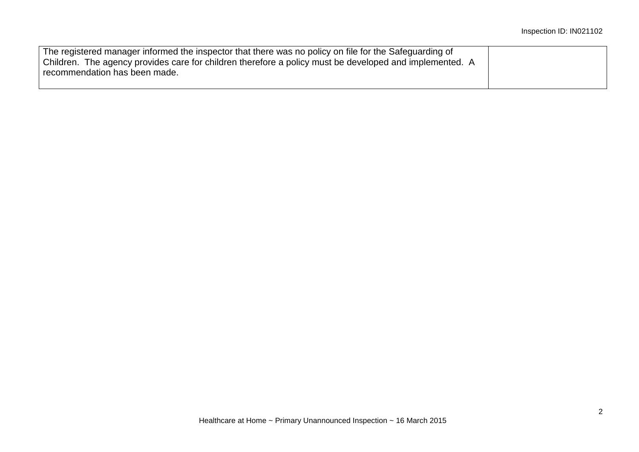| The registered manager informed the inspector that there was no policy on file for the Safeguarding of  |  |
|---------------------------------------------------------------------------------------------------------|--|
| Children. The agency provides care for children therefore a policy must be developed and implemented. A |  |
| recommendation has been made.                                                                           |  |
|                                                                                                         |  |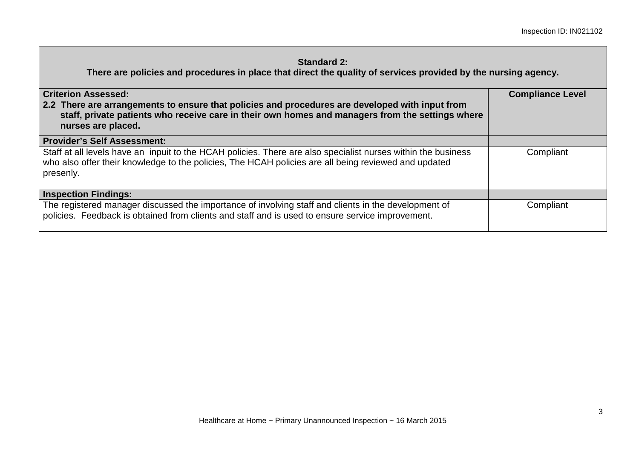| <b>Criterion Assessed:</b><br>2.2 There are arrangements to ensure that policies and procedures are developed with input from<br>staff, private patients who receive care in their own homes and managers from the settings where<br>nurses are placed. | <b>Compliance Level</b> |
|---------------------------------------------------------------------------------------------------------------------------------------------------------------------------------------------------------------------------------------------------------|-------------------------|
| <b>Provider's Self Assessment:</b>                                                                                                                                                                                                                      |                         |
| Staff at all levels have an inpuit to the HCAH policies. There are also specialist nurses within the business<br>who also offer their knowledge to the policies, The HCAH policies are all being reviewed and updated<br>presenly.                      | Compliant               |
| <b>Inspection Findings:</b>                                                                                                                                                                                                                             |                         |
| The registered manager discussed the importance of involving staff and clients in the development of<br>policies. Feedback is obtained from clients and staff and is used to ensure service improvement.                                                | Compliant               |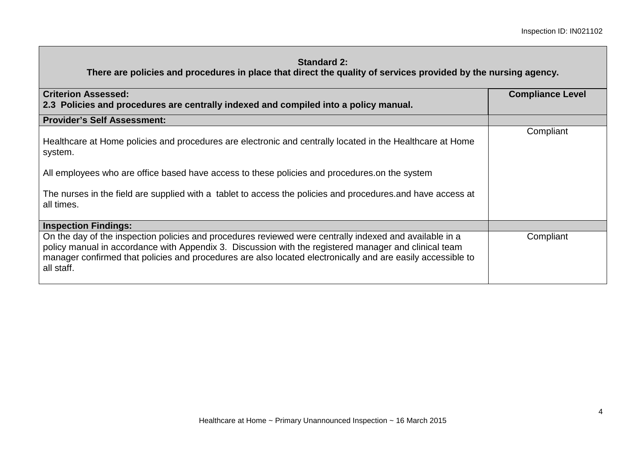| <b>Criterion Assessed:</b><br>2.3 Policies and procedures are centrally indexed and compiled into a policy manual.                                                                                                                                                                                                                            | <b>Compliance Level</b> |
|-----------------------------------------------------------------------------------------------------------------------------------------------------------------------------------------------------------------------------------------------------------------------------------------------------------------------------------------------|-------------------------|
| <b>Provider's Self Assessment:</b>                                                                                                                                                                                                                                                                                                            |                         |
| Healthcare at Home policies and procedures are electronic and centrally located in the Healthcare at Home<br>system.                                                                                                                                                                                                                          | Compliant               |
| All employees who are office based have access to these policies and procedures on the system                                                                                                                                                                                                                                                 |                         |
| The nurses in the field are supplied with a tablet to access the policies and procedures and have access at<br>all times.                                                                                                                                                                                                                     |                         |
| <b>Inspection Findings:</b>                                                                                                                                                                                                                                                                                                                   |                         |
| On the day of the inspection policies and procedures reviewed were centrally indexed and available in a<br>policy manual in accordance with Appendix 3. Discussion with the registered manager and clinical team<br>manager confirmed that policies and procedures are also located electronically and are easily accessible to<br>all staff. | Compliant               |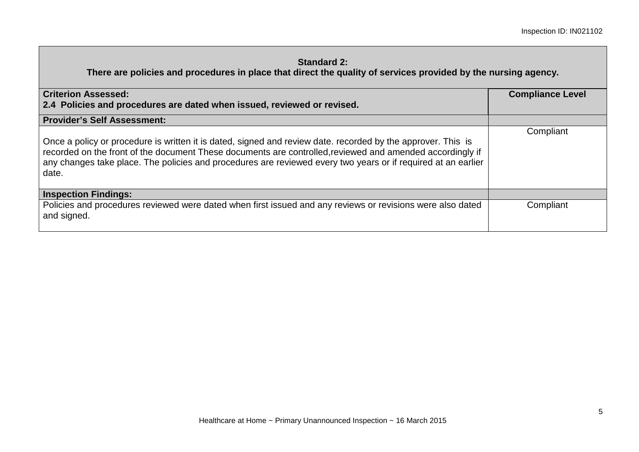| <b>Criterion Assessed:</b><br>2.4 Policies and procedures are dated when issued, reviewed or revised.                                                                                                                                                                                                                                               | <b>Compliance Level</b> |
|-----------------------------------------------------------------------------------------------------------------------------------------------------------------------------------------------------------------------------------------------------------------------------------------------------------------------------------------------------|-------------------------|
| <b>Provider's Self Assessment:</b>                                                                                                                                                                                                                                                                                                                  |                         |
| Once a policy or procedure is written it is dated, signed and review date. recorded by the approver. This is<br>recorded on the front of the document These documents are controlled, reviewed and amended accordingly if<br>any changes take place. The policies and procedures are reviewed every two years or if required at an earlier<br>date. | Compliant               |
| <b>Inspection Findings:</b>                                                                                                                                                                                                                                                                                                                         |                         |
| Policies and procedures reviewed were dated when first issued and any reviews or revisions were also dated<br>and signed.                                                                                                                                                                                                                           | Compliant               |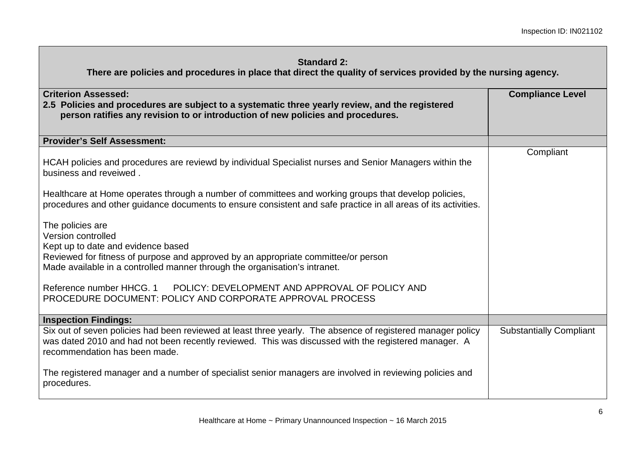| <b>Criterion Assessed:</b><br>2.5 Policies and procedures are subject to a systematic three yearly review, and the registered<br>person ratifies any revision to or introduction of new policies and procedures.                                     | <b>Compliance Level</b>        |
|------------------------------------------------------------------------------------------------------------------------------------------------------------------------------------------------------------------------------------------------------|--------------------------------|
| <b>Provider's Self Assessment:</b>                                                                                                                                                                                                                   |                                |
| HCAH policies and procedures are reviewd by individual Specialist nurses and Senior Managers within the<br>business and reveiwed.                                                                                                                    | Compliant                      |
| Healthcare at Home operates through a number of committees and working groups that develop policies,<br>procedures and other guidance documents to ensure consistent and safe practice in all areas of its activities.                               |                                |
| The policies are<br>Version controlled<br>Kept up to date and evidence based<br>Reviewed for fitness of purpose and approved by an appropriate committee/or person<br>Made available in a controlled manner through the organisation's intranet.     |                                |
| Reference number HHCG, 1 POLICY: DEVELOPMENT AND APPROVAL OF POLICY AND<br>PROCEDURE DOCUMENT: POLICY AND CORPORATE APPROVAL PROCESS                                                                                                                 |                                |
| <b>Inspection Findings:</b>                                                                                                                                                                                                                          |                                |
| Six out of seven policies had been reviewed at least three yearly. The absence of registered manager policy<br>was dated 2010 and had not been recently reviewed. This was discussed with the registered manager. A<br>recommendation has been made. | <b>Substantially Compliant</b> |
| The registered manager and a number of specialist senior managers are involved in reviewing policies and<br>procedures.                                                                                                                              |                                |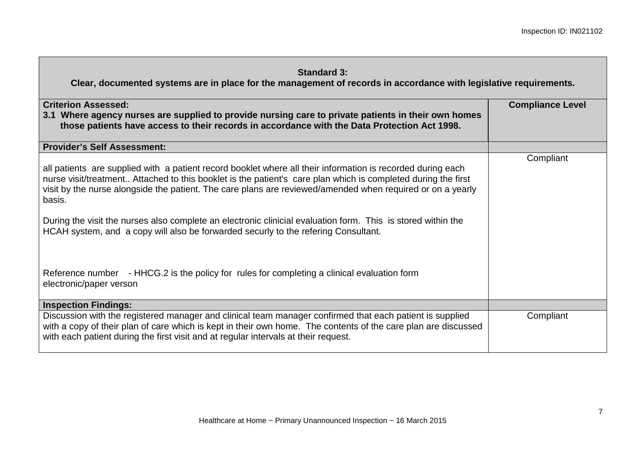| <b>Standard 3:</b> |  |
|--------------------|--|
|--------------------|--|

| <b>Criterion Assessed:</b><br>3.1 Where agency nurses are supplied to provide nursing care to private patients in their own homes<br>those patients have access to their records in accordance with the Data Protection Act 1998.<br><b>Provider's Self Assessment:</b><br>all patients are supplied with a patient record booklet where all their information is recorded during each<br>nurse visit/treatment Attached to this booklet is the patient's care plan which is completed during the first<br>visit by the nurse alongside the patient. The care plans are reviewed/amended when required or on a yearly<br>basis.<br>During the visit the nurses also complete an electronic clinicial evaluation form. This is stored within the<br>HCAH system, and a copy will also be forwarded securly to the refering Consultant.<br>Reference number - HHCG.2 is the policy for rules for completing a clinical evaluation form | <b>Compliance Level</b><br>Compliant |
|--------------------------------------------------------------------------------------------------------------------------------------------------------------------------------------------------------------------------------------------------------------------------------------------------------------------------------------------------------------------------------------------------------------------------------------------------------------------------------------------------------------------------------------------------------------------------------------------------------------------------------------------------------------------------------------------------------------------------------------------------------------------------------------------------------------------------------------------------------------------------------------------------------------------------------------|--------------------------------------|
| electronic/paper verson                                                                                                                                                                                                                                                                                                                                                                                                                                                                                                                                                                                                                                                                                                                                                                                                                                                                                                              |                                      |
| <b>Inspection Findings:</b>                                                                                                                                                                                                                                                                                                                                                                                                                                                                                                                                                                                                                                                                                                                                                                                                                                                                                                          |                                      |
| Discussion with the registered manager and clinical team manager confirmed that each patient is supplied<br>with a copy of their plan of care which is kept in their own home. The contents of the care plan are discussed<br>with each patient during the first visit and at regular intervals at their request.                                                                                                                                                                                                                                                                                                                                                                                                                                                                                                                                                                                                                    | Compliant                            |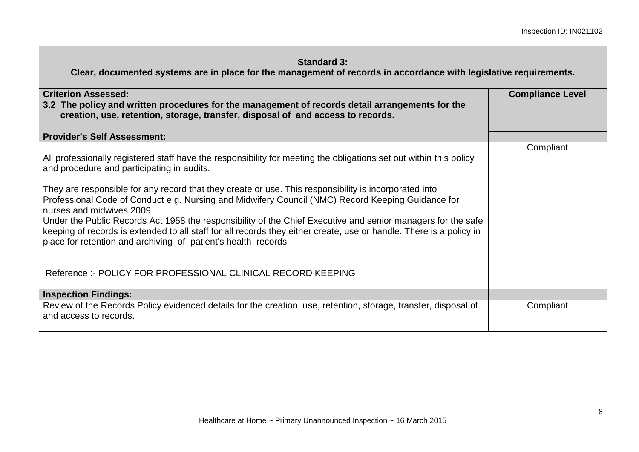| <b>Criterion Assessed:</b><br>3.2 The policy and written procedures for the management of records detail arrangements for the<br>creation, use, retention, storage, transfer, disposal of and access to records.                                                                                                                                                                                                                      | <b>Compliance Level</b> |
|---------------------------------------------------------------------------------------------------------------------------------------------------------------------------------------------------------------------------------------------------------------------------------------------------------------------------------------------------------------------------------------------------------------------------------------|-------------------------|
| <b>Provider's Self Assessment:</b>                                                                                                                                                                                                                                                                                                                                                                                                    |                         |
| All professionally registered staff have the responsibility for meeting the obligations set out within this policy<br>and procedure and participating in audits.<br>They are responsible for any record that they create or use. This responsibility is incorporated into                                                                                                                                                             | Compliant               |
| Professional Code of Conduct e.g. Nursing and Midwifery Council (NMC) Record Keeping Guidance for<br>nurses and midwives 2009<br>Under the Public Records Act 1958 the responsibility of the Chief Executive and senior managers for the safe<br>keeping of records is extended to all staff for all records they either create, use or handle. There is a policy in<br>place for retention and archiving of patient's health records |                         |
| Reference :- POLICY FOR PROFESSIONAL CLINICAL RECORD KEEPING                                                                                                                                                                                                                                                                                                                                                                          |                         |
| <b>Inspection Findings:</b>                                                                                                                                                                                                                                                                                                                                                                                                           |                         |
| Review of the Records Policy evidenced details for the creation, use, retention, storage, transfer, disposal of<br>and access to records.                                                                                                                                                                                                                                                                                             | Compliant               |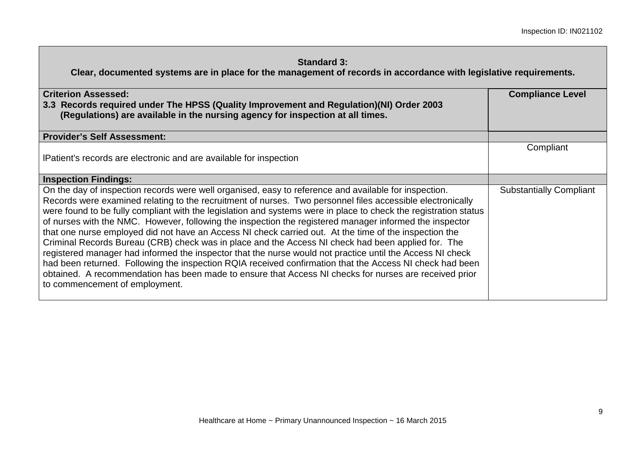| <b>Criterion Assessed:</b><br>3.3 Records required under The HPSS (Quality Improvement and Regulation)(NI) Order 2003<br>(Regulations) are available in the nursing agency for inspection at all times.                                                                                                                                                                                                                                                                                                                                                                                                                                                                                                                                                                                                                                                                                                                                                                                                                                 | <b>Compliance Level</b>        |
|-----------------------------------------------------------------------------------------------------------------------------------------------------------------------------------------------------------------------------------------------------------------------------------------------------------------------------------------------------------------------------------------------------------------------------------------------------------------------------------------------------------------------------------------------------------------------------------------------------------------------------------------------------------------------------------------------------------------------------------------------------------------------------------------------------------------------------------------------------------------------------------------------------------------------------------------------------------------------------------------------------------------------------------------|--------------------------------|
| <b>Provider's Self Assessment:</b>                                                                                                                                                                                                                                                                                                                                                                                                                                                                                                                                                                                                                                                                                                                                                                                                                                                                                                                                                                                                      |                                |
| IPatient's records are electronic and are available for inspection                                                                                                                                                                                                                                                                                                                                                                                                                                                                                                                                                                                                                                                                                                                                                                                                                                                                                                                                                                      | Compliant                      |
| <b>Inspection Findings:</b>                                                                                                                                                                                                                                                                                                                                                                                                                                                                                                                                                                                                                                                                                                                                                                                                                                                                                                                                                                                                             |                                |
| On the day of inspection records were well organised, easy to reference and available for inspection.<br>Records were examined relating to the recruitment of nurses. Two personnel files accessible electronically<br>were found to be fully compliant with the legislation and systems were in place to check the registration status<br>of nurses with the NMC. However, following the inspection the registered manager informed the inspector<br>that one nurse employed did not have an Access NI check carried out. At the time of the inspection the<br>Criminal Records Bureau (CRB) check was in place and the Access NI check had been applied for. The<br>registered manager had informed the inspector that the nurse would not practice until the Access NI check<br>had been returned. Following the inspection RQIA received confirmation that the Access NI check had been<br>obtained. A recommendation has been made to ensure that Access NI checks for nurses are received prior<br>to commencement of employment. | <b>Substantially Compliant</b> |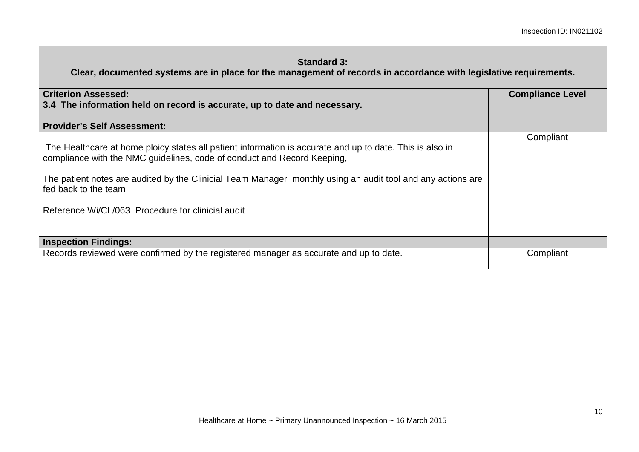| <b>Criterion Assessed:</b><br>3.4 The information held on record is accurate, up to date and necessary.                                                                                                                                                                                                                                                                         | <b>Compliance Level</b> |
|---------------------------------------------------------------------------------------------------------------------------------------------------------------------------------------------------------------------------------------------------------------------------------------------------------------------------------------------------------------------------------|-------------------------|
| <b>Provider's Self Assessment:</b>                                                                                                                                                                                                                                                                                                                                              |                         |
| The Healthcare at home ploicy states all patient information is accurate and up to date. This is also in<br>compliance with the NMC guidelines, code of conduct and Record Keeping,<br>The patient notes are audited by the Clinicial Team Manager monthly using an audit tool and any actions are<br>fed back to the team<br>Reference Wi/CL/063 Procedure for clinicial audit | Compliant               |
| <b>Inspection Findings:</b>                                                                                                                                                                                                                                                                                                                                                     |                         |
| Records reviewed were confirmed by the registered manager as accurate and up to date.                                                                                                                                                                                                                                                                                           | Compliant               |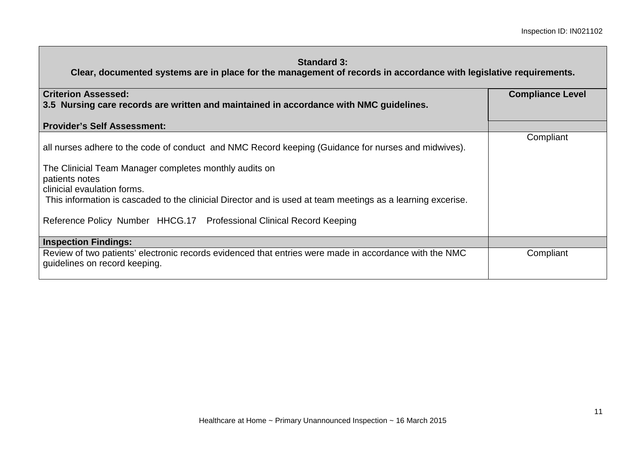| <b>Criterion Assessed:</b><br>3.5 Nursing care records are written and maintained in accordance with NMC guidelines.                                                                                           | <b>Compliance Level</b> |
|----------------------------------------------------------------------------------------------------------------------------------------------------------------------------------------------------------------|-------------------------|
| <b>Provider's Self Assessment:</b>                                                                                                                                                                             |                         |
| all nurses adhere to the code of conduct and NMC Record keeping (Guidance for nurses and midwives).<br>The Clinicial Team Manager completes monthly audits on<br>patients notes<br>clinicial evaulation forms. | Compliant               |
| This information is cascaded to the clinicial Director and is used at team meetings as a learning excerise.<br>Reference Policy Number HHCG.17 Professional Clinical Record Keeping                            |                         |
| <b>Inspection Findings:</b>                                                                                                                                                                                    |                         |
| Review of two patients' electronic records evidenced that entries were made in accordance with the NMC<br>guidelines on record keeping.                                                                        | Compliant               |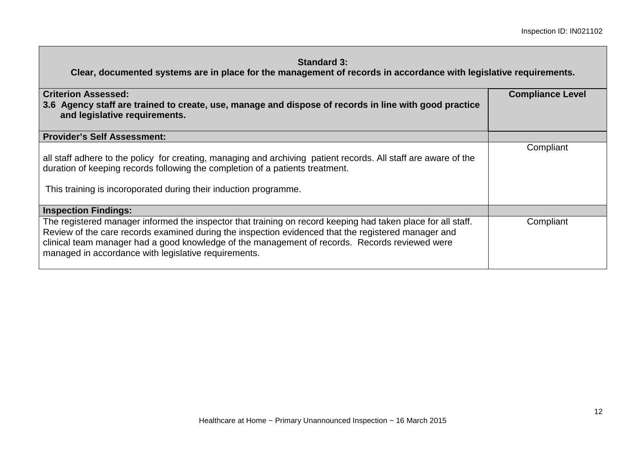| <b>Criterion Assessed:</b><br>3.6 Agency staff are trained to create, use, manage and dispose of records in line with good practice<br>and legislative requirements.                                                                                                                                                                                                          | <b>Compliance Level</b> |
|-------------------------------------------------------------------------------------------------------------------------------------------------------------------------------------------------------------------------------------------------------------------------------------------------------------------------------------------------------------------------------|-------------------------|
| <b>Provider's Self Assessment:</b>                                                                                                                                                                                                                                                                                                                                            |                         |
| all staff adhere to the policy for creating, managing and archiving patient records. All staff are aware of the<br>duration of keeping records following the completion of a patients treatment.<br>This training is incoroporated during their induction programme.                                                                                                          | Compliant               |
| <b>Inspection Findings:</b>                                                                                                                                                                                                                                                                                                                                                   |                         |
| The registered manager informed the inspector that training on record keeping had taken place for all staff.<br>Review of the care records examined during the inspection evidenced that the registered manager and<br>clinical team manager had a good knowledge of the management of records. Records reviewed were<br>managed in accordance with legislative requirements. | Compliant               |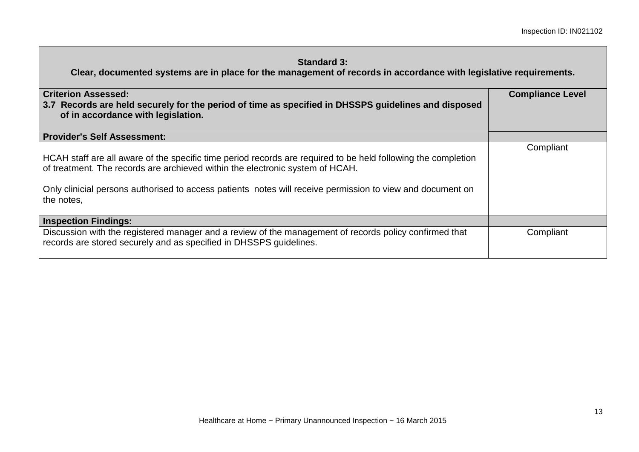| <b>Criterion Assessed:</b><br>3.7 Records are held securely for the period of time as specified in DHSSPS guidelines and disposed<br>of in accordance with legislation.                                                                                                                                                    | <b>Compliance Level</b> |
|----------------------------------------------------------------------------------------------------------------------------------------------------------------------------------------------------------------------------------------------------------------------------------------------------------------------------|-------------------------|
| Provider's Self Assessment:                                                                                                                                                                                                                                                                                                |                         |
| HCAH staff are all aware of the specific time period records are required to be held following the completion<br>of treatment. The records are archieved within the electronic system of HCAH.<br>Only clinicial persons authorised to access patients notes will receive permission to view and document on<br>the notes, | Compliant               |
| <b>Inspection Findings:</b>                                                                                                                                                                                                                                                                                                |                         |
| Discussion with the registered manager and a review of the management of records policy confirmed that<br>records are stored securely and as specified in DHSSPS guidelines.                                                                                                                                               | Compliant               |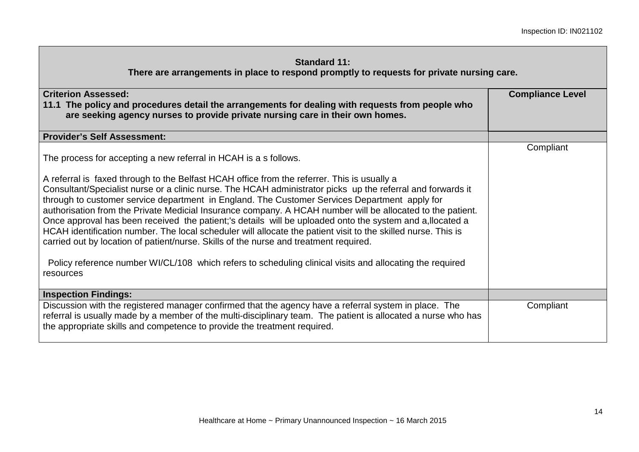**There are arrangements in place to respond promptly to requests for private nursing care.**

| <b>Criterion Assessed:</b><br>11.1 The policy and procedures detail the arrangements for dealing with requests from people who<br>are seeking agency nurses to provide private nursing care in their own homes.                                                                                                                                                                                                                                                                                                                                                                                                                                                                                                                                                                                                                                                                                                                               | <b>Compliance Level</b> |
|-----------------------------------------------------------------------------------------------------------------------------------------------------------------------------------------------------------------------------------------------------------------------------------------------------------------------------------------------------------------------------------------------------------------------------------------------------------------------------------------------------------------------------------------------------------------------------------------------------------------------------------------------------------------------------------------------------------------------------------------------------------------------------------------------------------------------------------------------------------------------------------------------------------------------------------------------|-------------------------|
| <b>Provider's Self Assessment:</b>                                                                                                                                                                                                                                                                                                                                                                                                                                                                                                                                                                                                                                                                                                                                                                                                                                                                                                            |                         |
| The process for accepting a new referral in HCAH is a s follows.<br>A referral is faxed through to the Belfast HCAH office from the referrer. This is usually a<br>Consultant/Specialist nurse or a clinic nurse. The HCAH administrator picks up the referral and forwards it<br>through to customer service department in England. The Customer Services Department apply for<br>authorisation from the Private Medicial Insurance company. A HCAH number will be allocated to the patient.<br>Once approval has been received the patient;'s details will be uploaded onto the system and a, llocated a<br>HCAH identification number. The local scheduler will allocate the patient visit to the skilled nurse. This is<br>carried out by location of patient/nurse. Skills of the nurse and treatment required.<br>Policy reference number WI/CL/108 which refers to scheduling clinical visits and allocating the required<br>resources | Compliant               |
| <b>Inspection Findings:</b>                                                                                                                                                                                                                                                                                                                                                                                                                                                                                                                                                                                                                                                                                                                                                                                                                                                                                                                   |                         |
| Discussion with the registered manager confirmed that the agency have a referral system in place. The<br>referral is usually made by a member of the multi-disciplinary team. The patient is allocated a nurse who has<br>the appropriate skills and competence to provide the treatment required.                                                                                                                                                                                                                                                                                                                                                                                                                                                                                                                                                                                                                                            | Compliant               |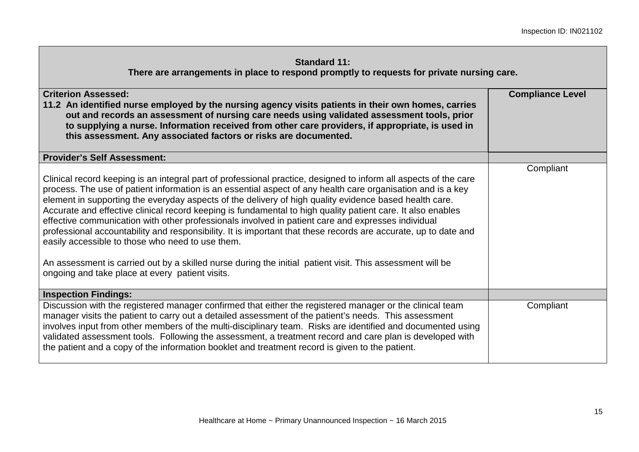**There are arrangements in place to respond promptly to requests for private nursing care.**

| <b>Criterion Assessed:</b><br>11.2 An identified nurse employed by the nursing agency visits patients in their own homes, carries<br>out and records an assessment of nursing care needs using validated assessment tools, prior<br>to supplying a nurse. Information received from other care providers, if appropriate, is used in<br>this assessment. Any associated factors or risks are documented.                                                                                                                                                                                                                                                                                                                                                                                                                                                                                              | <b>Compliance Level</b> |
|-------------------------------------------------------------------------------------------------------------------------------------------------------------------------------------------------------------------------------------------------------------------------------------------------------------------------------------------------------------------------------------------------------------------------------------------------------------------------------------------------------------------------------------------------------------------------------------------------------------------------------------------------------------------------------------------------------------------------------------------------------------------------------------------------------------------------------------------------------------------------------------------------------|-------------------------|
| <b>Provider's Self Assessment:</b>                                                                                                                                                                                                                                                                                                                                                                                                                                                                                                                                                                                                                                                                                                                                                                                                                                                                    |                         |
| Clinical record keeping is an integral part of professional practice, designed to inform all aspects of the care<br>process. The use of patient information is an essential aspect of any health care organisation and is a key<br>element in supporting the everyday aspects of the delivery of high quality evidence based health care.<br>Accurate and effective clinical record keeping is fundamental to high quality patient care. It also enables<br>effective communication with other professionals involved in patient care and expresses individual<br>professional accountability and responsibility. It is important that these records are accurate, up to date and<br>easily accessible to those who need to use them.<br>An assessment is carried out by a skilled nurse during the initial patient visit. This assessment will be<br>ongoing and take place at every patient visits. | Compliant               |
| <b>Inspection Findings:</b>                                                                                                                                                                                                                                                                                                                                                                                                                                                                                                                                                                                                                                                                                                                                                                                                                                                                           |                         |
| Discussion with the registered manager confirmed that either the registered manager or the clinical team<br>manager visits the patient to carry out a detailed assessment of the patient's needs. This assessment<br>involves input from other members of the multi-disciplinary team. Risks are identified and documented using<br>validated assessment tools. Following the assessment, a treatment record and care plan is developed with<br>the patient and a copy of the information booklet and treatment record is given to the patient.                                                                                                                                                                                                                                                                                                                                                       | Compliant               |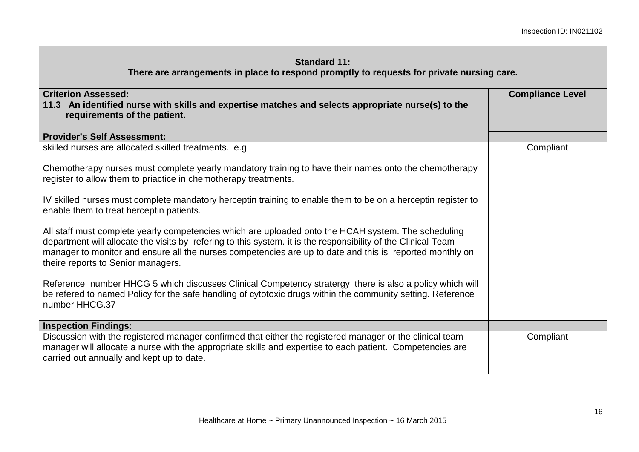#### **Standard 11: There are arrangements in place to respond promptly to requests for private nursing care.**

| <b>Criterion Assessed:</b><br>11.3 An identified nurse with skills and expertise matches and selects appropriate nurse(s) to the<br>requirements of the patient.                                                                                                                                                                                                       | <b>Compliance Level</b> |
|------------------------------------------------------------------------------------------------------------------------------------------------------------------------------------------------------------------------------------------------------------------------------------------------------------------------------------------------------------------------|-------------------------|
| <b>Provider's Self Assessment:</b>                                                                                                                                                                                                                                                                                                                                     |                         |
| skilled nurses are allocated skilled treatments. e.g                                                                                                                                                                                                                                                                                                                   | Compliant               |
| Chemotherapy nurses must complete yearly mandatory training to have their names onto the chemotherapy<br>register to allow them to priactice in chemotherapy treatments.                                                                                                                                                                                               |                         |
| IV skilled nurses must complete mandatory herceptin training to enable them to be on a herceptin register to<br>enable them to treat herceptin patients.                                                                                                                                                                                                               |                         |
| All staff must complete yearly competencies which are uploaded onto the HCAH system. The scheduling<br>department will allocate the visits by refering to this system. it is the responsibility of the Clinical Team<br>manager to monitor and ensure all the nurses competencies are up to date and this is reported monthly on<br>theire reports to Senior managers. |                         |
| Reference number HHCG 5 which discusses Clinical Competency stratergy there is also a policy which will<br>be refered to named Policy for the safe handling of cytotoxic drugs within the community setting. Reference<br>number HHCG.37                                                                                                                               |                         |
| <b>Inspection Findings:</b>                                                                                                                                                                                                                                                                                                                                            |                         |
| Discussion with the registered manager confirmed that either the registered manager or the clinical team<br>manager will allocate a nurse with the appropriate skills and expertise to each patient. Competencies are<br>carried out annually and kept up to date.                                                                                                     | Compliant               |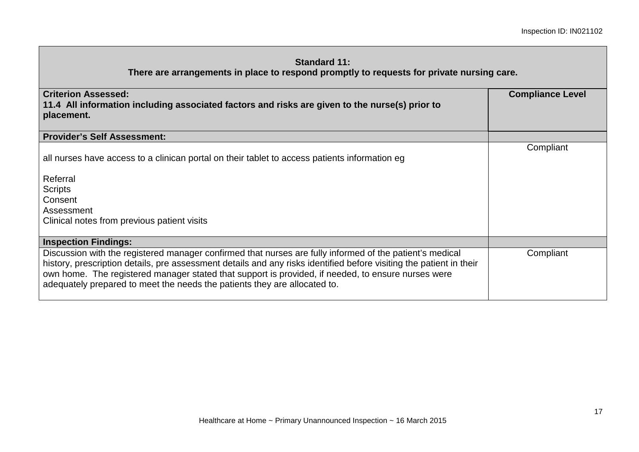#### **Standard 11: There are arrangements in place to respond promptly to requests for private nursing care.**

| <b>Criterion Assessed:</b><br>11.4 All information including associated factors and risks are given to the nurse(s) prior to<br>placement.                                                                                                                                                                                                                                                                         | <b>Compliance Level</b> |
|--------------------------------------------------------------------------------------------------------------------------------------------------------------------------------------------------------------------------------------------------------------------------------------------------------------------------------------------------------------------------------------------------------------------|-------------------------|
| <b>Provider's Self Assessment:</b>                                                                                                                                                                                                                                                                                                                                                                                 |                         |
| all nurses have access to a clinican portal on their tablet to access patients information eg<br>Referral                                                                                                                                                                                                                                                                                                          | Compliant               |
| <b>Scripts</b><br>Consent<br>Assessment                                                                                                                                                                                                                                                                                                                                                                            |                         |
| Clinical notes from previous patient visits                                                                                                                                                                                                                                                                                                                                                                        |                         |
| <b>Inspection Findings:</b>                                                                                                                                                                                                                                                                                                                                                                                        |                         |
| Discussion with the registered manager confirmed that nurses are fully informed of the patient's medical<br>history, prescription details, pre assessment details and any risks identified before visiting the patient in their<br>own home. The registered manager stated that support is provided, if needed, to ensure nurses were<br>adequately prepared to meet the needs the patients they are allocated to. | Compliant               |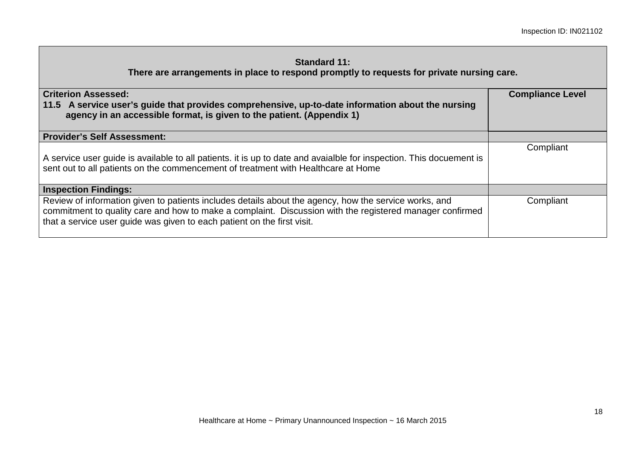**There are arrangements in place to respond promptly to requests for private nursing care.**

| <b>Criterion Assessed:</b><br>11.5 A service user's guide that provides comprehensive, up-to-date information about the nursing<br>agency in an accessible format, is given to the patient. (Appendix 1)                                                                                     | <b>Compliance Level</b> |
|----------------------------------------------------------------------------------------------------------------------------------------------------------------------------------------------------------------------------------------------------------------------------------------------|-------------------------|
| <b>Provider's Self Assessment:</b>                                                                                                                                                                                                                                                           |                         |
| A service user guide is available to all patients. it is up to date and avaialble for inspection. This docuement is<br>sent out to all patients on the commencement of treatment with Healthcare at Home                                                                                     | Compliant               |
| <b>Inspection Findings:</b>                                                                                                                                                                                                                                                                  |                         |
| Review of information given to patients includes details about the agency, how the service works, and<br>commitment to quality care and how to make a complaint. Discussion with the registered manager confirmed<br>that a service user guide was given to each patient on the first visit. | Compliant               |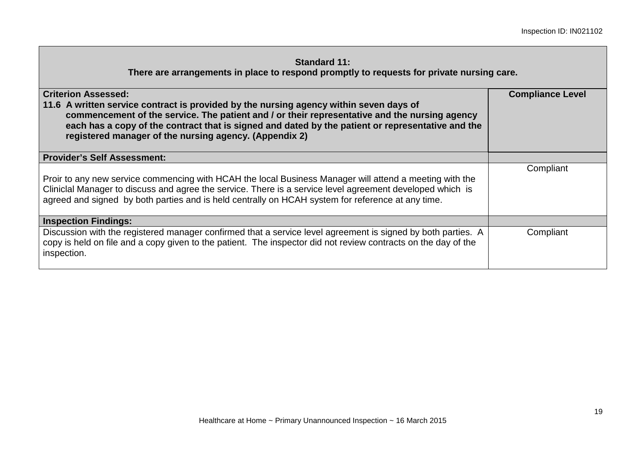**There are arrangements in place to respond promptly to requests for private nursing care.**

| <b>Criterion Assessed:</b><br>11.6 A written service contract is provided by the nursing agency within seven days of<br>commencement of the service. The patient and / or their representative and the nursing agency<br>each has a copy of the contract that is signed and dated by the patient or representative and the<br>registered manager of the nursing agency. (Appendix 2) | <b>Compliance Level</b> |
|--------------------------------------------------------------------------------------------------------------------------------------------------------------------------------------------------------------------------------------------------------------------------------------------------------------------------------------------------------------------------------------|-------------------------|
| <b>Provider's Self Assessment:</b>                                                                                                                                                                                                                                                                                                                                                   |                         |
| Proir to any new service commencing with HCAH the local Business Manager will attend a meeting with the<br>Cliniclal Manager to discuss and agree the service. There is a service level agreement developed which is<br>agreed and signed by both parties and is held centrally on HCAH system for reference at any time.                                                            | Compliant               |
| <b>Inspection Findings:</b>                                                                                                                                                                                                                                                                                                                                                          |                         |
| Discussion with the registered manager confirmed that a service level agreement is signed by both parties. A<br>copy is held on file and a copy given to the patient. The inspector did not review contracts on the day of the<br>inspection.                                                                                                                                        | Compliant               |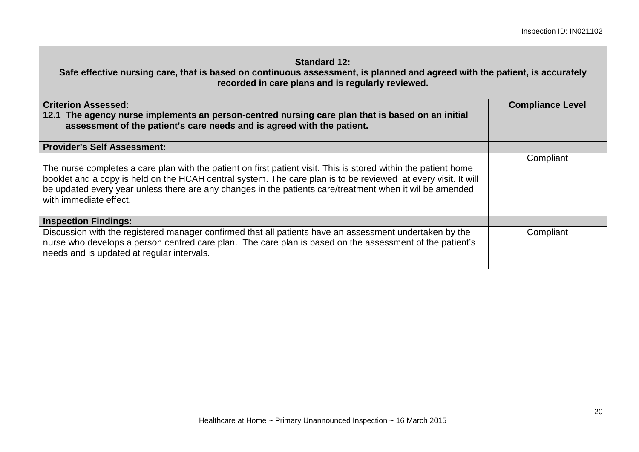**Safe effective nursing care, that is based on continuous assessment, is planned and agreed with the patient, is accurately recorded in care plans and is regularly reviewed.**

| <b>Criterion Assessed:</b><br>12.1 The agency nurse implements an person-centred nursing care plan that is based on an initial<br>assessment of the patient's care needs and is agreed with the patient.                                                                                                                                                                | <b>Compliance Level</b> |
|-------------------------------------------------------------------------------------------------------------------------------------------------------------------------------------------------------------------------------------------------------------------------------------------------------------------------------------------------------------------------|-------------------------|
| <b>Provider's Self Assessment:</b>                                                                                                                                                                                                                                                                                                                                      |                         |
| The nurse completes a care plan with the patient on first patient visit. This is stored within the patient home<br>booklet and a copy is held on the HCAH central system. The care plan is to be reviewed at every visit. It will<br>be updated every year unless there are any changes in the patients care/treatment when it wil be amended<br>with immediate effect. | Compliant               |
| <b>Inspection Findings:</b>                                                                                                                                                                                                                                                                                                                                             |                         |
| Discussion with the registered manager confirmed that all patients have an assessment undertaken by the<br>nurse who develops a person centred care plan. The care plan is based on the assessment of the patient's<br>needs and is updated at regular intervals.                                                                                                       | Compliant               |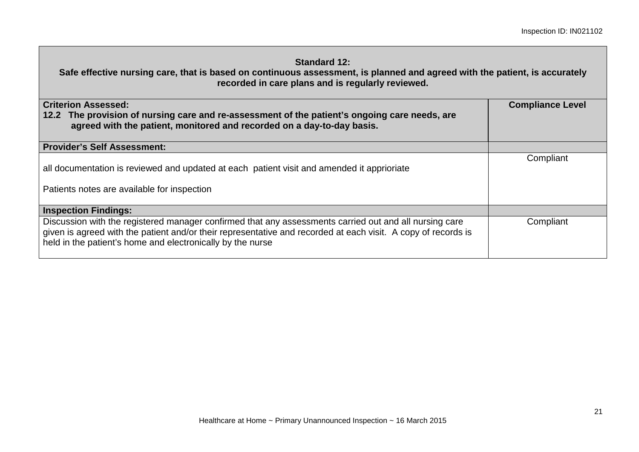**Safe effective nursing care, that is based on continuous assessment, is planned and agreed with the patient, is accurately recorded in care plans and is regularly reviewed.**

| <b>Criterion Assessed:</b><br>12.2 The provision of nursing care and re-assessment of the patient's ongoing care needs, are<br>agreed with the patient, monitored and recorded on a day-to-day basis.                                                                                 | <b>Compliance Level</b> |
|---------------------------------------------------------------------------------------------------------------------------------------------------------------------------------------------------------------------------------------------------------------------------------------|-------------------------|
| <b>Provider's Self Assessment:</b>                                                                                                                                                                                                                                                    |                         |
| all documentation is reviewed and updated at each patient visit and amended it apprioriate<br>Patients notes are available for inspection                                                                                                                                             | Compliant               |
| <b>Inspection Findings:</b>                                                                                                                                                                                                                                                           |                         |
| Discussion with the registered manager confirmed that any assessments carried out and all nursing care<br>given is agreed with the patient and/or their representative and recorded at each visit. A copy of records is<br>held in the patient's home and electronically by the nurse | Compliant               |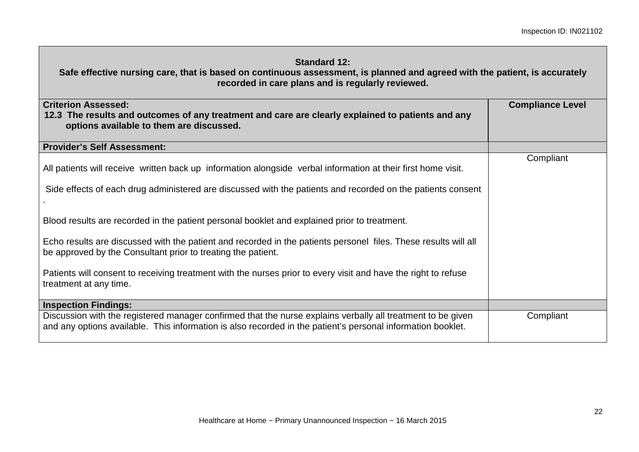| <b>Standard 12:</b><br>Safe effective nursing care, that is based on continuous assessment, is planned and agreed with the patient, is accurately<br>recorded in care plans and is regularly reviewed.                     |                         |
|----------------------------------------------------------------------------------------------------------------------------------------------------------------------------------------------------------------------------|-------------------------|
| <b>Criterion Assessed:</b><br>12.3 The results and outcomes of any treatment and care are clearly explained to patients and any<br>options available to them are discussed.                                                | <b>Compliance Level</b> |
| <b>Provider's Self Assessment:</b>                                                                                                                                                                                         |                         |
| All patients will receive written back up information alongside verbal information at their first home visit.                                                                                                              | Compliant               |
| Side effects of each drug administered are discussed with the patients and recorded on the patients consent                                                                                                                |                         |
| Blood results are recorded in the patient personal booklet and explained prior to treatment.                                                                                                                               |                         |
| Echo results are discussed with the patient and recorded in the patients personel files. These results will all<br>be approved by the Consultant prior to treating the patient.                                            |                         |
| Patients will consent to receiving treatment with the nurses prior to every visit and have the right to refuse<br>treatment at any time.                                                                                   |                         |
| <b>Inspection Findings:</b>                                                                                                                                                                                                |                         |
| Discussion with the registered manager confirmed that the nurse explains verbally all treatment to be given<br>and any options available. This information is also recorded in the patient's personal information booklet. | Compliant               |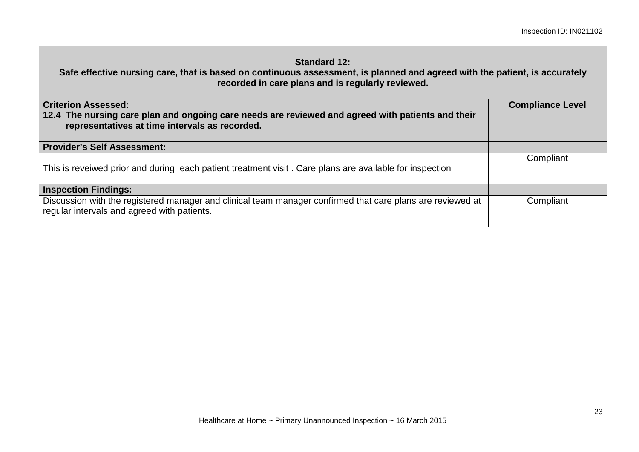# **Standard 12: Safe effective nursing care, that is based on continuous assessment, is planned and agreed with the patient, is accurately recorded in care plans and is regularly reviewed. Criterion Assessed: 12.4 The nursing care plan and ongoing care needs are reviewed and agreed with patients and their representatives at time intervals as recorded. Compliance Level Provider's Self Assessment:**  This is reveiwed prior and during each patient treatment visit . Care plans are available for inspection **Compliant Inspection Findings:**  Discussion with the registered manager and clinical team manager confirmed that care plans are reviewed at regular intervals and agreed with patients. **Compliant**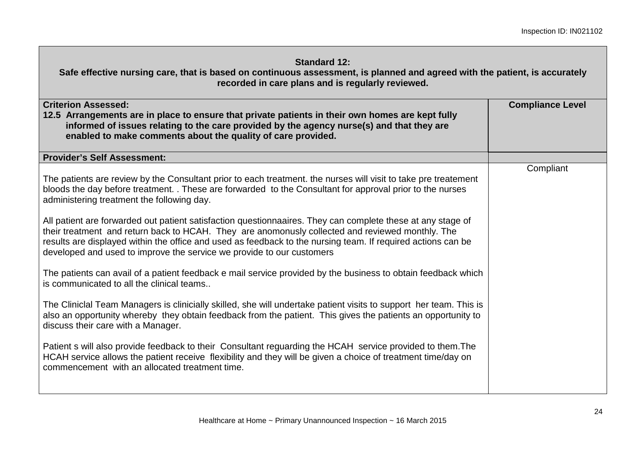| <b>Standard 12:</b><br>Safe effective nursing care, that is based on continuous assessment, is planned and agreed with the patient, is accurately<br>recorded in care plans and is regularly reviewed.                                                                                                                                                                                                                                                                                                                                                                                                                                                                                 |                         |
|----------------------------------------------------------------------------------------------------------------------------------------------------------------------------------------------------------------------------------------------------------------------------------------------------------------------------------------------------------------------------------------------------------------------------------------------------------------------------------------------------------------------------------------------------------------------------------------------------------------------------------------------------------------------------------------|-------------------------|
| <b>Criterion Assessed:</b><br>12.5 Arrangements are in place to ensure that private patients in their own homes are kept fully<br>informed of issues relating to the care provided by the agency nurse(s) and that they are<br>enabled to make comments about the quality of care provided.                                                                                                                                                                                                                                                                                                                                                                                            | <b>Compliance Level</b> |
| <b>Provider's Self Assessment:</b>                                                                                                                                                                                                                                                                                                                                                                                                                                                                                                                                                                                                                                                     |                         |
| The patients are review by the Consultant prior to each treatment. the nurses will visit to take pre treatement<br>bloods the day before treatment. . These are forwarded to the Consultant for approval prior to the nurses<br>administering treatment the following day.<br>All patient are forwarded out patient satisfaction questionnaaires. They can complete these at any stage of<br>their treatment and return back to HCAH. They are anomonusly collected and reviewed monthly. The<br>results are displayed within the office and used as feedback to the nursing team. If required actions can be<br>developed and used to improve the service we provide to our customers | Compliant               |
| The patients can avail of a patient feedback e mail service provided by the business to obtain feedback which<br>is communicated to all the clinical teams                                                                                                                                                                                                                                                                                                                                                                                                                                                                                                                             |                         |
| The Cliniclal Team Managers is clinicially skilled, she will undertake patient visits to support her team. This is<br>also an opportunity whereby they obtain feedback from the patient. This gives the patients an opportunity to<br>discuss their care with a Manager.                                                                                                                                                                                                                                                                                                                                                                                                               |                         |
| Patient s will also provide feedback to their Consultant reguarding the HCAH service provided to them. The<br>HCAH service allows the patient receive flexibility and they will be given a choice of treatment time/day on<br>commencement with an allocated treatment time.                                                                                                                                                                                                                                                                                                                                                                                                           |                         |

Г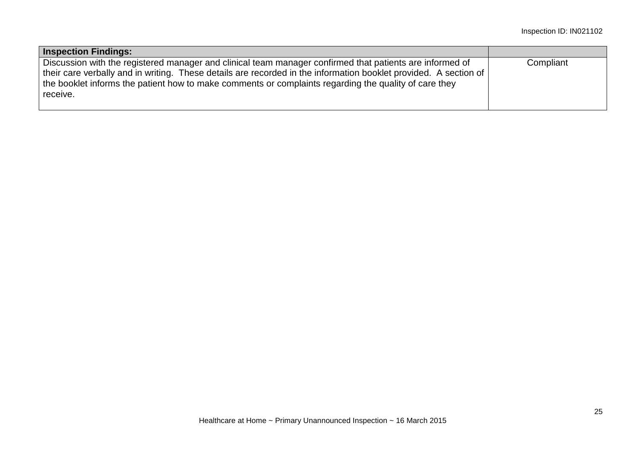| <b>Inspection Findings:</b>                                                                                                                                                                                                                                                                                                                       |           |
|---------------------------------------------------------------------------------------------------------------------------------------------------------------------------------------------------------------------------------------------------------------------------------------------------------------------------------------------------|-----------|
| Discussion with the registered manager and clinical team manager confirmed that patients are informed of<br>their care verbally and in writing. These details are recorded in the information booklet provided. A section of<br>the booklet informs the patient how to make comments or complaints regarding the quality of care they<br>receive. | Compliant |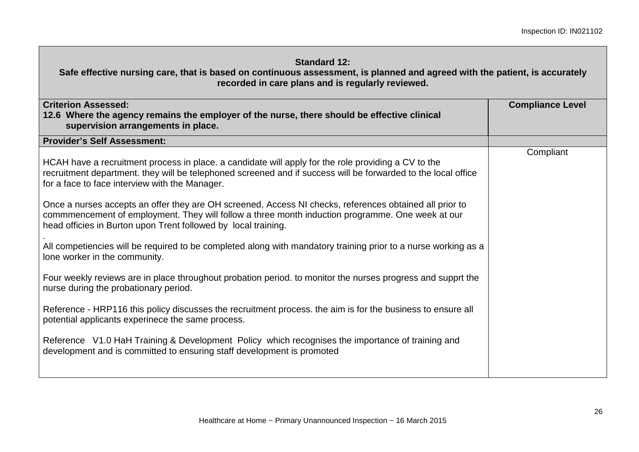| <b>Standard 12:</b><br>Safe effective nursing care, that is based on continuous assessment, is planned and agreed with the patient, is accurately<br>recorded in care plans and is regularly reviewed.                                                                                                                                                                                                                                                                                                                                                                                                                                                                                                     |                         |
|------------------------------------------------------------------------------------------------------------------------------------------------------------------------------------------------------------------------------------------------------------------------------------------------------------------------------------------------------------------------------------------------------------------------------------------------------------------------------------------------------------------------------------------------------------------------------------------------------------------------------------------------------------------------------------------------------------|-------------------------|
| <b>Criterion Assessed:</b><br>12.6 Where the agency remains the employer of the nurse, there should be effective clinical<br>supervision arrangements in place.                                                                                                                                                                                                                                                                                                                                                                                                                                                                                                                                            | <b>Compliance Level</b> |
| <b>Provider's Self Assessment:</b>                                                                                                                                                                                                                                                                                                                                                                                                                                                                                                                                                                                                                                                                         |                         |
| HCAH have a recruitment process in place. a candidate will apply for the role providing a CV to the<br>recruitment department. they will be telephoned screened and if success will be forwarded to the local office<br>for a face to face interview with the Manager.<br>Once a nurses accepts an offer they are OH screened, Access NI checks, references obtained all prior to<br>commmencement of employment. They will follow a three month induction programme. One week at our<br>head officies in Burton upon Trent followed by local training.<br>All competiencies will be required to be completed along with mandatory training prior to a nurse working as a<br>lone worker in the community. | Compliant               |
| Four weekly reviews are in place throughout probation period. to monitor the nurses progress and supprt the<br>nurse during the probationary period.                                                                                                                                                                                                                                                                                                                                                                                                                                                                                                                                                       |                         |
| Reference - HRP116 this policy discusses the recruitment process. the aim is for the business to ensure all<br>potential applicants experinece the same process.                                                                                                                                                                                                                                                                                                                                                                                                                                                                                                                                           |                         |
| Reference V1.0 HaH Training & Development Policy which recognises the importance of training and<br>development and is committed to ensuring staff development is promoted                                                                                                                                                                                                                                                                                                                                                                                                                                                                                                                                 |                         |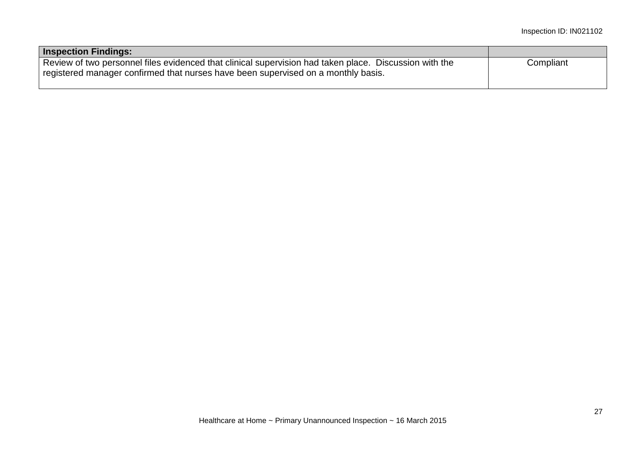| <b>Inspection Findings:</b>                                                                                                                                                                 |           |
|---------------------------------------------------------------------------------------------------------------------------------------------------------------------------------------------|-----------|
| Review of two personnel files evidenced that clinical supervision had taken place. Discussion with the<br>registered manager confirmed that nurses have been supervised on a monthly basis. | Compliant |
|                                                                                                                                                                                             |           |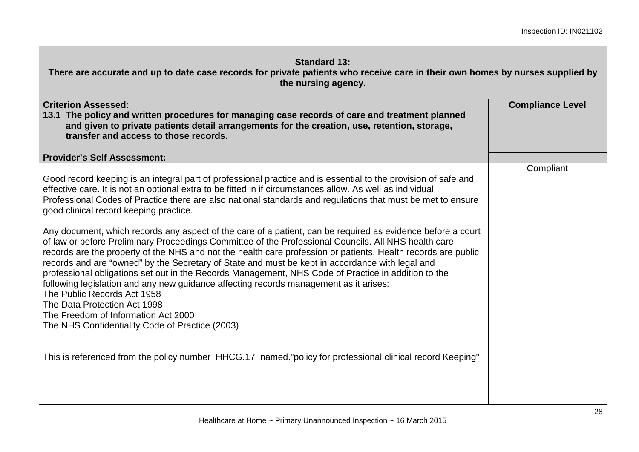| <b>Standard 13:</b><br>There are accurate and up to date case records for private patients who receive care in their own homes by nurses supplied by<br>the nursing agency.                                                                                                                                                                                                                                                                                                                                                                                                                                                                                                                                                                                                                                                                                                                                                                                                                                                                                                                                                                                                                                                                                                                           |                         |
|-------------------------------------------------------------------------------------------------------------------------------------------------------------------------------------------------------------------------------------------------------------------------------------------------------------------------------------------------------------------------------------------------------------------------------------------------------------------------------------------------------------------------------------------------------------------------------------------------------------------------------------------------------------------------------------------------------------------------------------------------------------------------------------------------------------------------------------------------------------------------------------------------------------------------------------------------------------------------------------------------------------------------------------------------------------------------------------------------------------------------------------------------------------------------------------------------------------------------------------------------------------------------------------------------------|-------------------------|
| <b>Criterion Assessed:</b><br>13.1 The policy and written procedures for managing case records of care and treatment planned<br>and given to private patients detail arrangements for the creation, use, retention, storage,<br>transfer and access to those records.                                                                                                                                                                                                                                                                                                                                                                                                                                                                                                                                                                                                                                                                                                                                                                                                                                                                                                                                                                                                                                 | <b>Compliance Level</b> |
| <b>Provider's Self Assessment:</b>                                                                                                                                                                                                                                                                                                                                                                                                                                                                                                                                                                                                                                                                                                                                                                                                                                                                                                                                                                                                                                                                                                                                                                                                                                                                    |                         |
| Good record keeping is an integral part of professional practice and is essential to the provision of safe and<br>effective care. It is not an optional extra to be fitted in if circumstances allow. As well as individual<br>Professional Codes of Practice there are also national standards and regulations that must be met to ensure<br>good clinical record keeping practice.<br>Any document, which records any aspect of the care of a patient, can be required as evidence before a court<br>of law or before Preliminary Proceedings Committee of the Professional Councils. All NHS health care<br>records are the property of the NHS and not the health care profession or patients. Health records are public<br>records and are "owned" by the Secretary of State and must be kept in accordance with legal and<br>professional obligations set out in the Records Management, NHS Code of Practice in addition to the<br>following legislation and any new guidance affecting records management as it arises:<br>The Public Records Act 1958<br>The Data Protection Act 1998<br>The Freedom of Information Act 2000<br>The NHS Confidentiality Code of Practice (2003)<br>This is referenced from the policy number HHCG.17 named."policy for professional clinical record Keeping" | Compliant               |
|                                                                                                                                                                                                                                                                                                                                                                                                                                                                                                                                                                                                                                                                                                                                                                                                                                                                                                                                                                                                                                                                                                                                                                                                                                                                                                       |                         |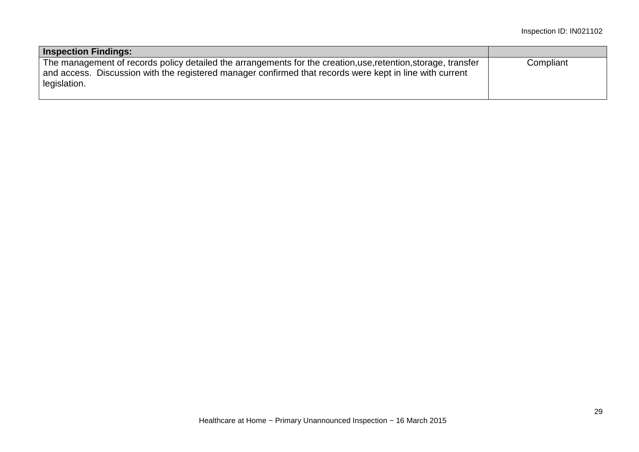| <b>Inspection Findings:</b>                                                                                                                                                                                                                |           |
|--------------------------------------------------------------------------------------------------------------------------------------------------------------------------------------------------------------------------------------------|-----------|
| The management of records policy detailed the arrangements for the creation, use, retention, storage, transfer<br>and access. Discussion with the registered manager confirmed that records were kept in line with current<br>legislation. | Compliant |
|                                                                                                                                                                                                                                            |           |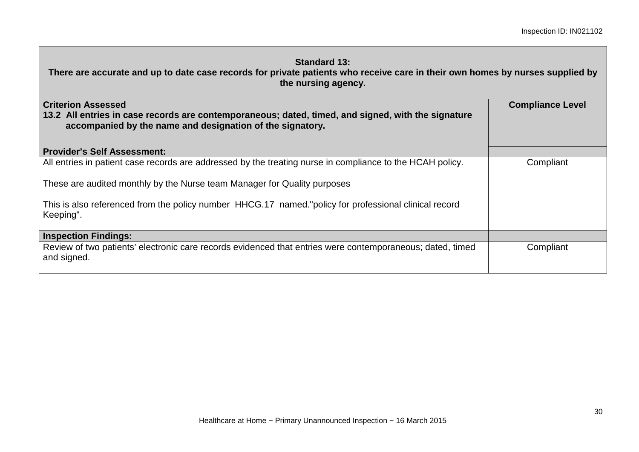**There are accurate and up to date case records for private patients who receive care in their own homes by nurses supplied by the nursing agency.**

| <b>Criterion Assessed</b><br>13.2 All entries in case records are contemporaneous; dated, timed, and signed, with the signature<br>accompanied by the name and designation of the signatory. | <b>Compliance Level</b> |
|----------------------------------------------------------------------------------------------------------------------------------------------------------------------------------------------|-------------------------|
| <b>Provider's Self Assessment:</b>                                                                                                                                                           |                         |
| All entries in patient case records are addressed by the treating nurse in compliance to the HCAH policy.                                                                                    | Compliant               |
| These are audited monthly by the Nurse team Manager for Quality purposes                                                                                                                     |                         |
| This is also referenced from the policy number HHCG.17 named."policy for professional clinical record<br>Keeping".                                                                           |                         |
| <b>Inspection Findings:</b>                                                                                                                                                                  |                         |
| Review of two patients' electronic care records evidenced that entries were contemporaneous; dated, timed<br>and signed.                                                                     | Compliant               |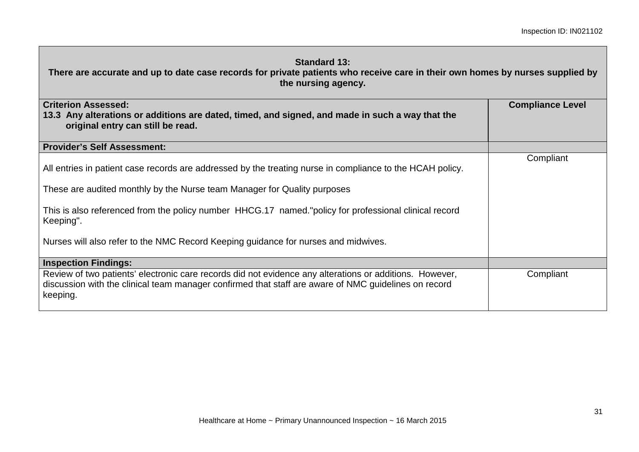| <b>Standard 13:</b><br>There are accurate and up to date case records for private patients who receive care in their own homes by nurses supplied by<br>the nursing agency.                                                 |                         |
|-----------------------------------------------------------------------------------------------------------------------------------------------------------------------------------------------------------------------------|-------------------------|
| <b>Criterion Assessed:</b><br>13.3 Any alterations or additions are dated, timed, and signed, and made in such a way that the<br>original entry can still be read.                                                          | <b>Compliance Level</b> |
| <b>Provider's Self Assessment:</b>                                                                                                                                                                                          |                         |
| All entries in patient case records are addressed by the treating nurse in compliance to the HCAH policy.                                                                                                                   | Compliant               |
| These are audited monthly by the Nurse team Manager for Quality purposes                                                                                                                                                    |                         |
| This is also referenced from the policy number HHCG.17 named."policy for professional clinical record<br>Keeping".                                                                                                          |                         |
| Nurses will also refer to the NMC Record Keeping guidance for nurses and midwives.                                                                                                                                          |                         |
| <b>Inspection Findings:</b>                                                                                                                                                                                                 |                         |
| Review of two patients' electronic care records did not evidence any alterations or additions. However,<br>discussion with the clinical team manager confirmed that staff are aware of NMC guidelines on record<br>keeping. | Compliant               |

г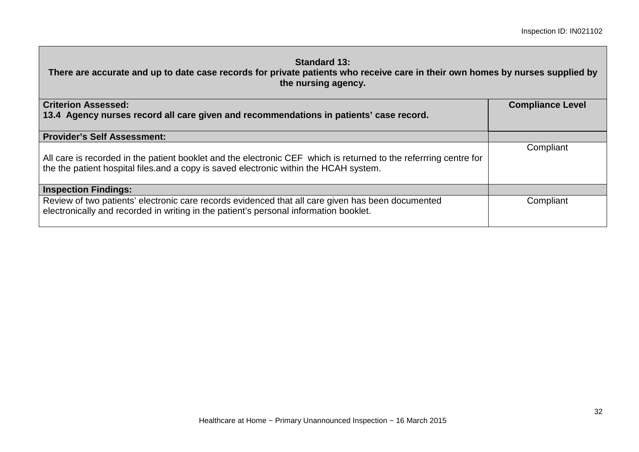| <b>Standard 13:</b><br>There are accurate and up to date case records for private patients who receive care in their own homes by nurses supplied by<br>the nursing agency.                                |                         |
|------------------------------------------------------------------------------------------------------------------------------------------------------------------------------------------------------------|-------------------------|
| <b>Criterion Assessed:</b>                                                                                                                                                                                 | <b>Compliance Level</b> |
| 13.4 Agency nurses record all care given and recommendations in patients' case record.                                                                                                                     |                         |
| <b>Provider's Self Assessment:</b>                                                                                                                                                                         |                         |
| All care is recorded in the patient booklet and the electronic CEF which is returned to the referrring centre for<br>the the patient hospital files and a copy is saved electronic within the HCAH system. | Compliant               |
| <b>Inspection Findings:</b>                                                                                                                                                                                |                         |
| Review of two patients' electronic care records evidenced that all care given has been documented<br>electronically and recorded in writing in the patient's personal information booklet.                 | Compliant               |

г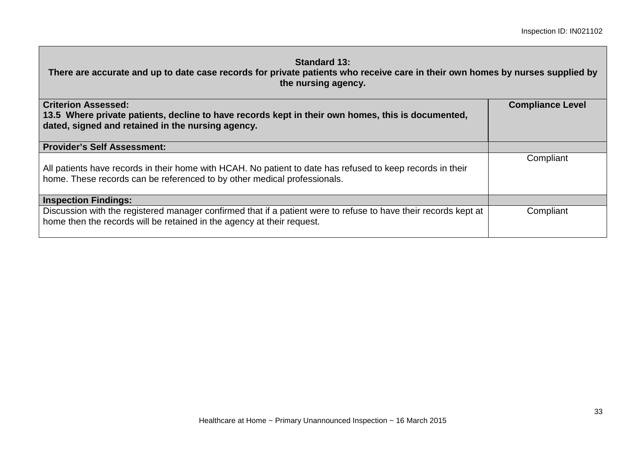| <b>Standard 13:</b><br>There are accurate and up to date case records for private patients who receive care in their own homes by nurses supplied by<br>the nursing agency.               |                         |
|-------------------------------------------------------------------------------------------------------------------------------------------------------------------------------------------|-------------------------|
| <b>Criterion Assessed:</b><br>13.5 Where private patients, decline to have records kept in their own homes, this is documented,<br>dated, signed and retained in the nursing agency.      | <b>Compliance Level</b> |
| <b>Provider's Self Assessment:</b>                                                                                                                                                        |                         |
| All patients have records in their home with HCAH. No patient to date has refused to keep records in their<br>home. These records can be referenced to by other medical professionals.    | Compliant               |
| <b>Inspection Findings:</b>                                                                                                                                                               |                         |
| Discussion with the registered manager confirmed that if a patient were to refuse to have their records kept at<br>home then the records will be retained in the agency at their request. | Compliant               |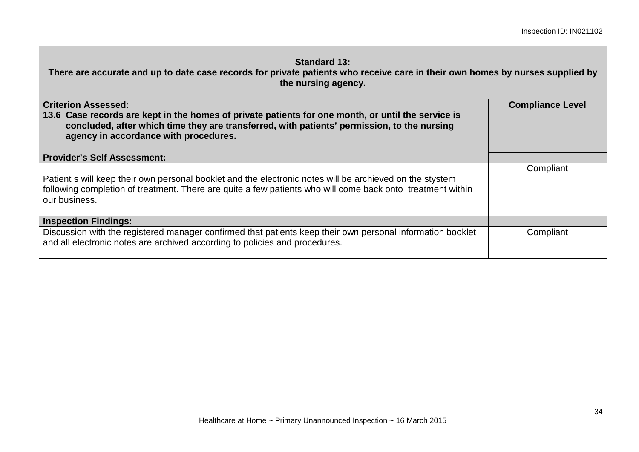| <b>Standard 13:</b><br>There are accurate and up to date case records for private patients who receive care in their own homes by nurses supplied by<br>the nursing agency.                                                                |                         |  |  |
|--------------------------------------------------------------------------------------------------------------------------------------------------------------------------------------------------------------------------------------------|-------------------------|--|--|
| <b>Criterion Assessed:</b>                                                                                                                                                                                                                 | <b>Compliance Level</b> |  |  |
| 13.6 Case records are kept in the homes of private patients for one month, or until the service is<br>concluded, after which time they are transferred, with patients' permission, to the nursing<br>agency in accordance with procedures. |                         |  |  |
| <b>Provider's Self Assessment:</b>                                                                                                                                                                                                         |                         |  |  |
| Patient s will keep their own personal booklet and the electronic notes will be archieved on the stystem<br>following completion of treatment. There are quite a few patients who will come back onto treatment within<br>our business.    | Compliant               |  |  |
| <b>Inspection Findings:</b>                                                                                                                                                                                                                |                         |  |  |
| Discussion with the registered manager confirmed that patients keep their own personal information booklet<br>and all electronic notes are archived according to policies and procedures.                                                  | Compliant               |  |  |

п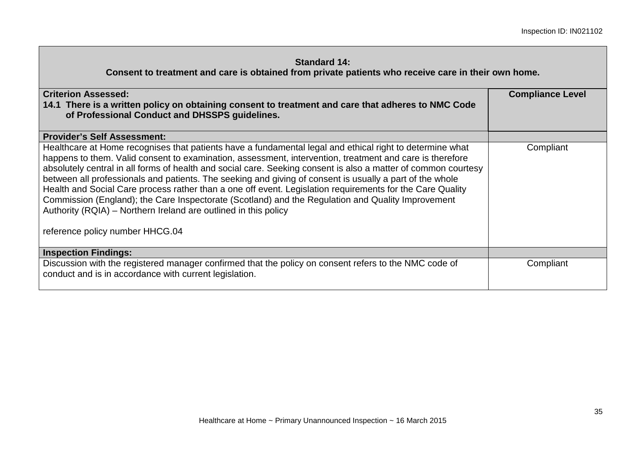| <b>Criterion Assessed:</b><br>14.1 There is a written policy on obtaining consent to treatment and care that adheres to NMC Code<br>of Professional Conduct and DHSSPS guidelines.<br><b>Provider's Self Assessment:</b>                                                                                                                                                                                                                                                                                                                                                                                                                                                                                                                                                   | <b>Compliance Level</b> |
|----------------------------------------------------------------------------------------------------------------------------------------------------------------------------------------------------------------------------------------------------------------------------------------------------------------------------------------------------------------------------------------------------------------------------------------------------------------------------------------------------------------------------------------------------------------------------------------------------------------------------------------------------------------------------------------------------------------------------------------------------------------------------|-------------------------|
| Healthcare at Home recognises that patients have a fundamental legal and ethical right to determine what<br>happens to them. Valid consent to examination, assessment, intervention, treatment and care is therefore<br>absolutely central in all forms of health and social care. Seeking consent is also a matter of common courtesy<br>between all professionals and patients. The seeking and giving of consent is usually a part of the whole<br>Health and Social Care process rather than a one off event. Legislation requirements for the Care Quality<br>Commission (England); the Care Inspectorate (Scotland) and the Regulation and Quality Improvement<br>Authority (RQIA) – Northern Ireland are outlined in this policy<br>reference policy number HHCG.04 | Compliant               |
| <b>Inspection Findings:</b>                                                                                                                                                                                                                                                                                                                                                                                                                                                                                                                                                                                                                                                                                                                                                |                         |
| Discussion with the registered manager confirmed that the policy on consent refers to the NMC code of<br>conduct and is in accordance with current legislation.                                                                                                                                                                                                                                                                                                                                                                                                                                                                                                                                                                                                            | Compliant               |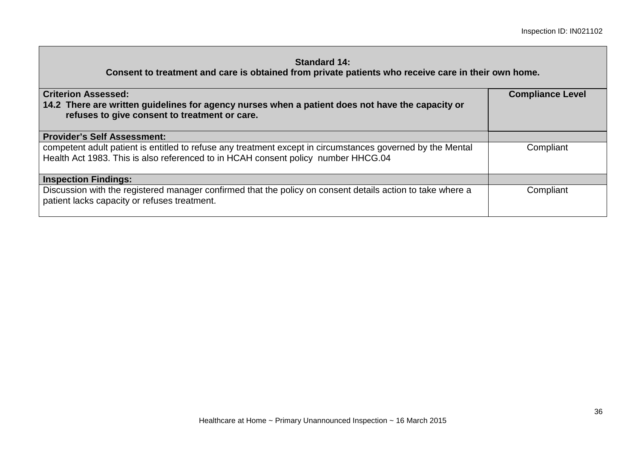| <b>Criterion Assessed:</b><br>14.2 There are written guidelines for agency nurses when a patient does not have the capacity or<br>refuses to give consent to treatment or care.                 | <b>Compliance Level</b> |
|-------------------------------------------------------------------------------------------------------------------------------------------------------------------------------------------------|-------------------------|
| <b>Provider's Self Assessment:</b>                                                                                                                                                              |                         |
| competent adult patient is entitled to refuse any treatment except in circumstances governed by the Mental<br>Health Act 1983. This is also referenced to in HCAH consent policy number HHCG.04 | Compliant               |
| <b>Inspection Findings:</b>                                                                                                                                                                     |                         |
| Discussion with the registered manager confirmed that the policy on consent details action to take where a<br>patient lacks capacity or refuses treatment.                                      | Compliant               |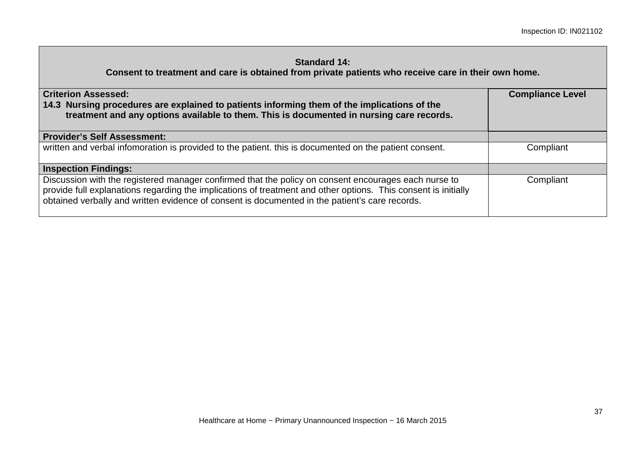| <b>Criterion Assessed:</b><br>14.3 Nursing procedures are explained to patients informing them of the implications of the<br>treatment and any options available to them. This is documented in nursing care records.                                                                                                    | <b>Compliance Level</b> |  |
|--------------------------------------------------------------------------------------------------------------------------------------------------------------------------------------------------------------------------------------------------------------------------------------------------------------------------|-------------------------|--|
| <b>Provider's Self Assessment:</b>                                                                                                                                                                                                                                                                                       |                         |  |
| written and verbal infomoration is provided to the patient. this is documented on the patient consent.                                                                                                                                                                                                                   | Compliant               |  |
| <b>Inspection Findings:</b>                                                                                                                                                                                                                                                                                              |                         |  |
| Discussion with the registered manager confirmed that the policy on consent encourages each nurse to<br>provide full explanations regarding the implications of treatment and other options. This consent is initially<br>obtained verbally and written evidence of consent is documented in the patient's care records. | Compliant               |  |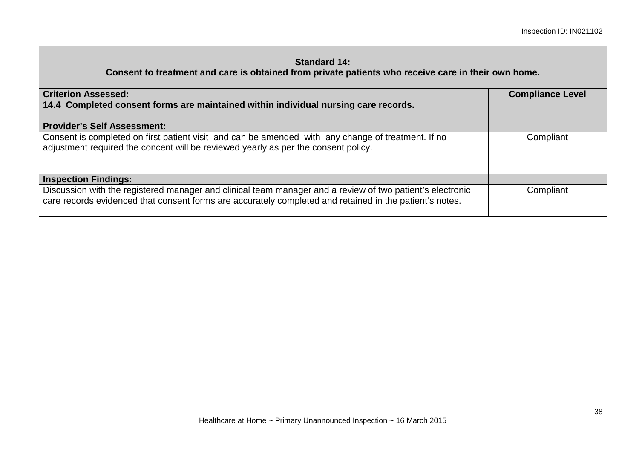| <b>Criterion Assessed:</b><br>14.4 Completed consent forms are maintained within individual nursing care records.                                                                                                    | <b>Compliance Level</b> |  |
|----------------------------------------------------------------------------------------------------------------------------------------------------------------------------------------------------------------------|-------------------------|--|
| <b>Provider's Self Assessment:</b>                                                                                                                                                                                   |                         |  |
| Consent is completed on first patient visit and can be amended with any change of treatment. If no<br>adjustment required the concent will be reviewed yearly as per the consent policy.                             | Compliant               |  |
| <b>Inspection Findings:</b>                                                                                                                                                                                          |                         |  |
| Discussion with the registered manager and clinical team manager and a review of two patient's electronic<br>care records evidenced that consent forms are accurately completed and retained in the patient's notes. | Compliant               |  |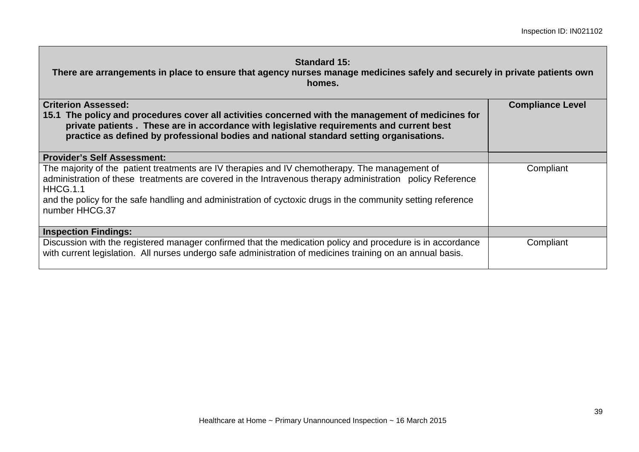| <b>Standard 15:</b><br>There are arrangements in place to ensure that agency nurses manage medicines safely and securely in private patients own<br>homes.                                                                                                                                                                                                |                         |  |  |
|-----------------------------------------------------------------------------------------------------------------------------------------------------------------------------------------------------------------------------------------------------------------------------------------------------------------------------------------------------------|-------------------------|--|--|
| <b>Criterion Assessed:</b><br>15.1 The policy and procedures cover all activities concerned with the management of medicines for<br>private patients. These are in accordance with legislative requirements and current best<br>practice as defined by professional bodies and national standard setting organisations.                                   | <b>Compliance Level</b> |  |  |
| <b>Provider's Self Assessment:</b>                                                                                                                                                                                                                                                                                                                        |                         |  |  |
| The majority of the patient treatments are IV therapies and IV chemotherapy. The management of<br>administration of these treatments are covered in the Intravenous therapy administration policy Reference<br>HHCG.1.1<br>and the policy for the safe handling and administration of cyctoxic drugs in the community setting reference<br>number HHCG.37 | Compliant               |  |  |
| <b>Inspection Findings:</b>                                                                                                                                                                                                                                                                                                                               |                         |  |  |
| Discussion with the registered manager confirmed that the medication policy and procedure is in accordance<br>with current legislation. All nurses undergo safe administration of medicines training on an annual basis.                                                                                                                                  | Compliant               |  |  |

Г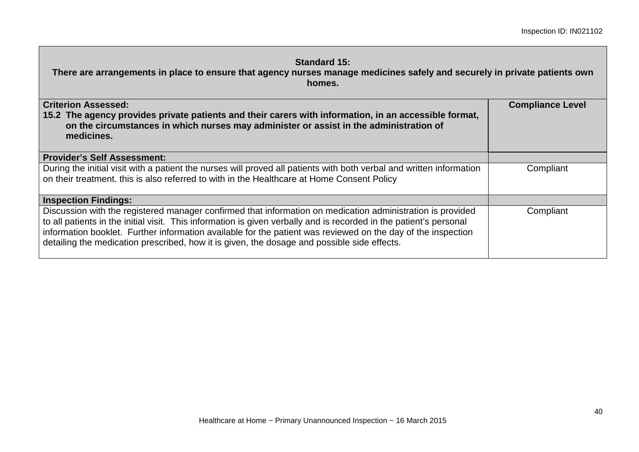| <b>Standard 15:</b><br>There are arrangements in place to ensure that agency nurses manage medicines safely and securely in private patients own<br>homes.                                                                                                                                                                                                                                                                                      |                         |  |
|-------------------------------------------------------------------------------------------------------------------------------------------------------------------------------------------------------------------------------------------------------------------------------------------------------------------------------------------------------------------------------------------------------------------------------------------------|-------------------------|--|
| <b>Criterion Assessed:</b>                                                                                                                                                                                                                                                                                                                                                                                                                      | <b>Compliance Level</b> |  |
| 15.2 The agency provides private patients and their carers with information, in an accessible format,<br>on the circumstances in which nurses may administer or assist in the administration of<br>medicines.                                                                                                                                                                                                                                   |                         |  |
| <b>Provider's Self Assessment:</b>                                                                                                                                                                                                                                                                                                                                                                                                              |                         |  |
| During the initial visit with a patient the nurses will proved all patients with both verbal and written information<br>on their treatment. this is also referred to with in the Healthcare at Home Consent Policy                                                                                                                                                                                                                              | Compliant               |  |
| <b>Inspection Findings:</b>                                                                                                                                                                                                                                                                                                                                                                                                                     |                         |  |
| Discussion with the registered manager confirmed that information on medication administration is provided<br>to all patients in the initial visit. This information is given verbally and is recorded in the patient's personal<br>information booklet. Further information available for the patient was reviewed on the day of the inspection<br>detailing the medication prescribed, how it is given, the dosage and possible side effects. | Compliant               |  |

п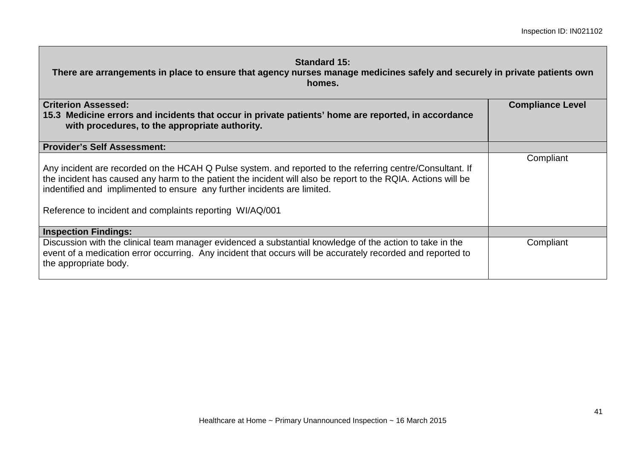| <b>Standard 15:</b><br>There are arrangements in place to ensure that agency nurses manage medicines safely and securely in private patients own<br>homes.                                                                                                                                                                                                         |                         |  |
|--------------------------------------------------------------------------------------------------------------------------------------------------------------------------------------------------------------------------------------------------------------------------------------------------------------------------------------------------------------------|-------------------------|--|
| <b>Criterion Assessed:</b><br>15.3 Medicine errors and incidents that occur in private patients' home are reported, in accordance<br>with procedures, to the appropriate authority.                                                                                                                                                                                | <b>Compliance Level</b> |  |
| <b>Provider's Self Assessment:</b>                                                                                                                                                                                                                                                                                                                                 |                         |  |
| Any incident are recorded on the HCAH Q Pulse system. and reported to the referring centre/Consultant. If<br>the incident has caused any harm to the patient the incident will also be report to the RQIA. Actions will be<br>indentified and implimented to ensure any further incidents are limited.<br>Reference to incident and complaints reporting WI/AQ/001 | Compliant               |  |
| <b>Inspection Findings:</b>                                                                                                                                                                                                                                                                                                                                        |                         |  |
| Discussion with the clinical team manager evidenced a substantial knowledge of the action to take in the<br>event of a medication error occurring. Any incident that occurs will be accurately recorded and reported to<br>the appropriate body.                                                                                                                   | Compliant               |  |

Г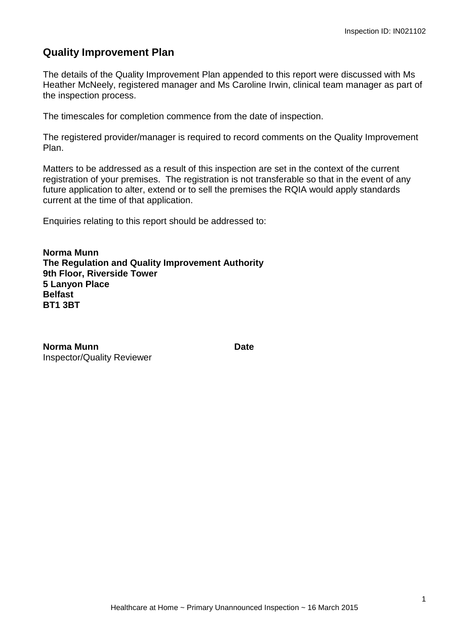# **Quality Improvement Plan**

The details of the Quality Improvement Plan appended to this report were discussed with Ms Heather McNeely, registered manager and Ms Caroline Irwin, clinical team manager as part of the inspection process.

The timescales for completion commence from the date of inspection.

The registered provider/manager is required to record comments on the Quality Improvement Plan.

Matters to be addressed as a result of this inspection are set in the context of the current registration of your premises. The registration is not transferable so that in the event of any future application to alter, extend or to sell the premises the RQIA would apply standards current at the time of that application.

Enquiries relating to this report should be addressed to:

**Norma Munn The Regulation and Quality Improvement Authority 9th Floor, Riverside Tower 5 Lanyon Place Belfast BT1 3BT**

**Norma Munn Date** Inspector/Quality Reviewer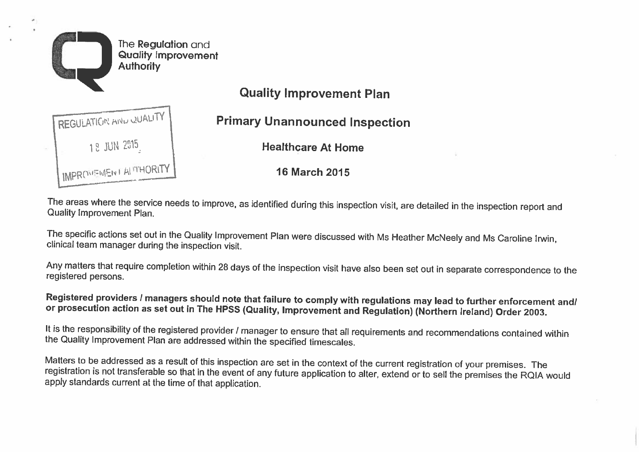

**Quality Improvement Plan** 

**Primary Unannounced Inspection** 

**Healthcare At Home** 

16 March 2015

The areas where the service needs to improve, as identified during this inspection visit, are detailed in the inspection report and Quality Improvement Plan.

The specific actions set out in the Quality Improvement Plan were discussed with Ms Heather McNeely and Ms Caroline Irwin, clinical team manager during the inspection visit.

Any matters that require completion within 28 days of the inspection visit have also been set out in separate correspondence to the registered persons.

Registered providers / managers should note that failure to comply with regulations may lead to further enforcement and/ or prosecution action as set out in The HPSS (Quality, Improvement and Regulation) (Northern Ireland) Order 2003.

It is the responsibility of the registered provider / manager to ensure that all requirements and recommendations contained within the Quality Improvement Plan are addressed within the specified timescales.

Matters to be addressed as a result of this inspection are set in the context of the current registration of your premises. The registration is not transferable so that in the event of any future application to alter, extend or to sell the premises the RQIA would apply standards current at the time of that application.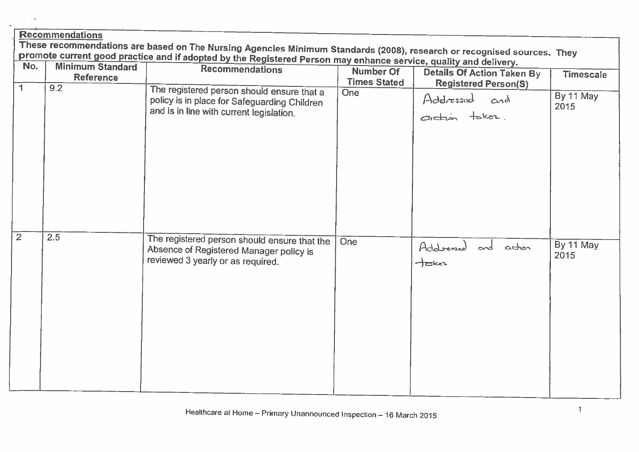| <b>Recommendations</b>                                                                                                 |                         |                                                                                                                                        |                     |                                                         |                   |
|------------------------------------------------------------------------------------------------------------------------|-------------------------|----------------------------------------------------------------------------------------------------------------------------------------|---------------------|---------------------------------------------------------|-------------------|
| These recommendations are based on The Nursing Agencies Minimum Standards (2008), research or recognised sources. They |                         |                                                                                                                                        |                     |                                                         |                   |
| promote current good practice and if adopted by the Registered Person may enhance service, quality and delivery.       |                         |                                                                                                                                        |                     |                                                         |                   |
| No.                                                                                                                    | <b>Minimum Standard</b> | <b>Recommendations</b>                                                                                                                 | Number Of           | <b>Details Of Action Taken By</b>                       | <b>Timescale</b>  |
|                                                                                                                        | <b>Reference</b>        |                                                                                                                                        | <b>Times Stated</b> | <b>Registered Person(S)</b>                             |                   |
| 1.                                                                                                                     | 9.2                     | The registered person should ensure that a<br>policy is in place for Safeguarding Children<br>and is in line with current legislation. | <b>One</b>          | Addressed and                                           | By 11 May<br>2015 |
| $\overline{2}$                                                                                                         | 2.5                     | The registered person should ensure that the<br>Absence of Registered Manager policy is<br>reviewed 3 yearly or as required.           | <b>One</b>          | Addressed and action<br>$\frac{1}{2}$ and $\frac{1}{2}$ | By 11 May<br>2015 |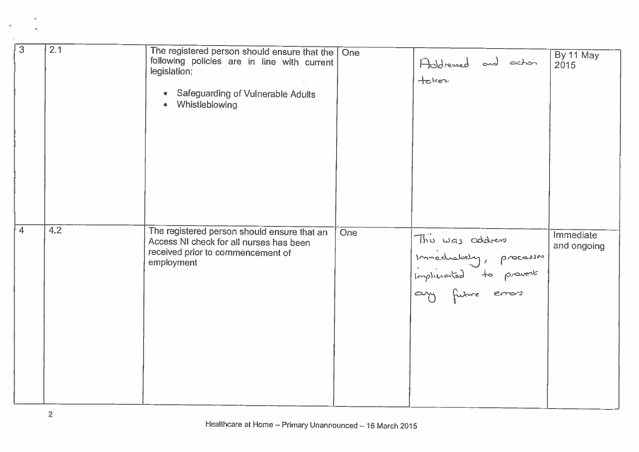| 3              | 2.1 | The registered person should ensure that the   One<br>following policies are in line with current<br>legislation:<br>Safeguarding of Vulnerable Adults<br>$\bullet$<br>Whistleblowing |     | Addressed and action<br>$+$ clen                                    | By 11 May<br>2015        |
|----------------|-----|---------------------------------------------------------------------------------------------------------------------------------------------------------------------------------------|-----|---------------------------------------------------------------------|--------------------------|
| $\overline{4}$ | 4.2 | The registered person should ensure that an                                                                                                                                           | One |                                                                     |                          |
|                |     | Access NI check for all nurses has been<br>received prior to commencement of<br>employment                                                                                            |     | This was address<br>Immediately, processes<br>Implicated to provent | Immediate<br>and ongoing |
|                |     |                                                                                                                                                                                       |     |                                                                     |                          |
|                |     |                                                                                                                                                                                       |     |                                                                     |                          |

i.